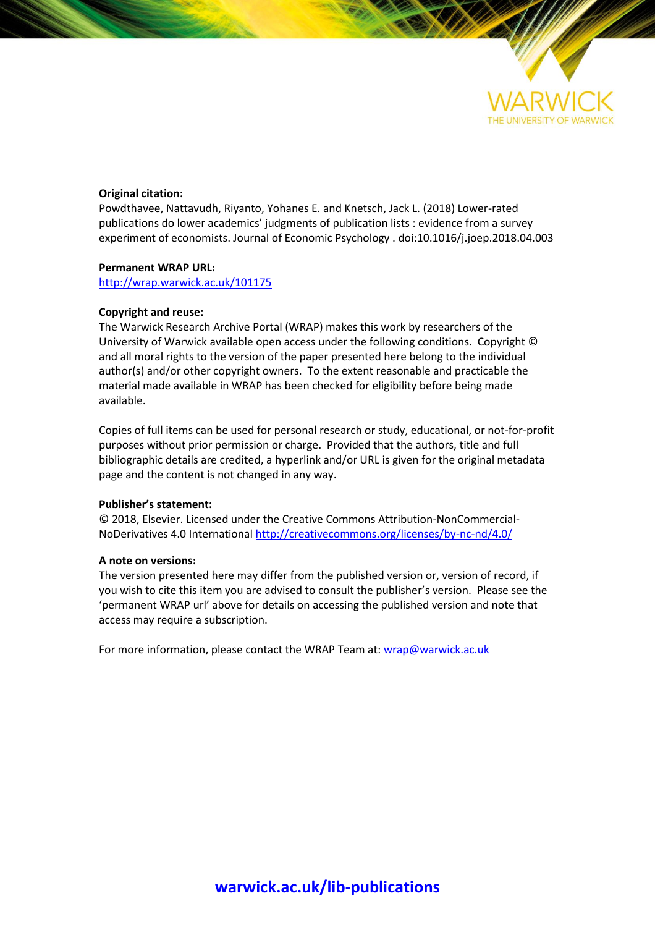

### **Original citation:**

Powdthavee, Nattavudh, Riyanto, Yohanes E. and Knetsch, Jack L. (2018) Lower-rated publications do lower academics' judgments of publication lists : evidence from a survey experiment of economists. Journal of Economic Psychology . doi:10.1016/j.joep.2018.04.003

#### **Permanent WRAP URL:**

<http://wrap.warwick.ac.uk/101175>

#### **Copyright and reuse:**

The Warwick Research Archive Portal (WRAP) makes this work by researchers of the University of Warwick available open access under the following conditions. Copyright © and all moral rights to the version of the paper presented here belong to the individual author(s) and/or other copyright owners. To the extent reasonable and practicable the material made available in WRAP has been checked for eligibility before being made available.

Copies of full items can be used for personal research or study, educational, or not-for-profit purposes without prior permission or charge. Provided that the authors, title and full bibliographic details are credited, a hyperlink and/or URL is given for the original metadata page and the content is not changed in any way.

#### **Publisher's statement:**

© 2018, Elsevier. Licensed under the Creative Commons Attribution-NonCommercial-NoDerivatives 4.0 International<http://creativecommons.org/licenses/by-nc-nd/4.0/>

#### **A note on versions:**

The version presented here may differ from the published version or, version of record, if you wish to cite this item you are advised to consult the publisher's version. Please see the 'permanent WRAP url' above for details on accessing the published version and note that access may require a subscription.

For more information, please contact the WRAP Team at[: wrap@warwick.ac.uk](mailto:wrap@warwick.ac.uk)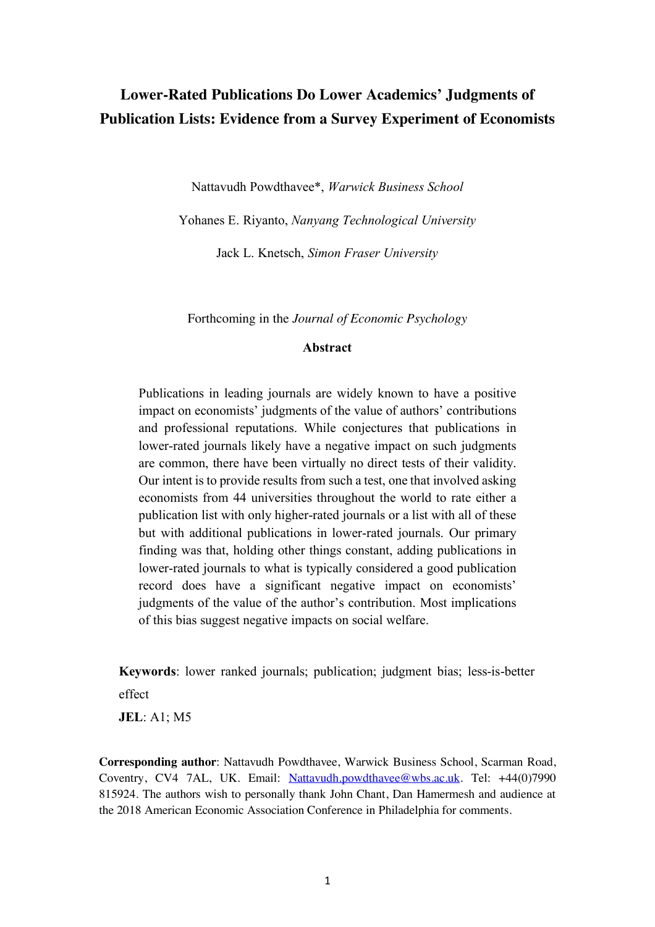# **Lower-Rated Publications Do Lower Academics' Judgments of Publication Lists: Evidence from a Survey Experiment of Economists**

Nattavudh Powdthavee\*, *Warwick Business School*

Yohanes E. Riyanto, *Nanyang Technological University*

Jack L. Knetsch, *Simon Fraser University*

Forthcoming in the *Journal of Economic Psychology*

## **Abstract**

Publications in leading journals are widely known to have a positive impact on economists' judgments of the value of authors' contributions and professional reputations. While conjectures that publications in lower-rated journals likely have a negative impact on such judgments are common, there have been virtually no direct tests of their validity. Our intent is to provide results from such a test, one that involved asking economists from 44 universities throughout the world to rate either a publication list with only higher-rated journals or a list with all of these but with additional publications in lower-rated journals. Our primary finding was that, holding other things constant, adding publications in lower-rated journals to what is typically considered a good publication record does have a significant negative impact on economists' judgments of the value of the author's contribution. Most implications of this bias suggest negative impacts on social welfare.

**Keywords**: lower ranked journals; publication; judgment bias; less-is-better effect

**JEL**: A1; M5

**Corresponding author**: Nattavudh Powdthavee, Warwick Business School, Scarman Road, Coventry, CV4 7AL, UK. Email: Nattavudh.powdthavee@wbs.ac.uk. Tel: +44(0)7990 815924. The authors wish to personally thank John Chant, Dan Hamermesh and audience at the 2018 American Economic Association Conference in Philadelphia for comments.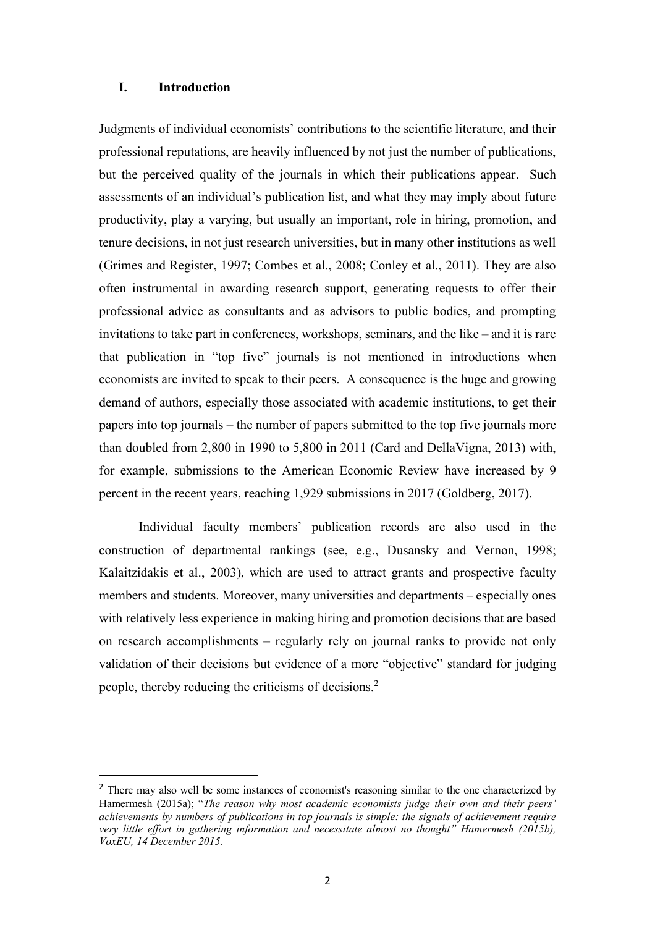## **I. Introduction**

Judgments of individual economists' contributions to the scientific literature, and their professional reputations, are heavily influenced by not just the number of publications, but the perceived quality of the journals in which their publications appear. Such assessments of an individual's publication list, and what they may imply about future productivity, play a varying, but usually an important, role in hiring, promotion, and tenure decisions, in not just research universities, but in many other institutions as well (Grimes and Register, 1997; Combes et al., 2008; Conley et al., 2011). They are also often instrumental in awarding research support, generating requests to offer their professional advice as consultants and as advisors to public bodies, and prompting invitations to take part in conferences, workshops, seminars, and the like – and it is rare that publication in "top five" journals is not mentioned in introductions when economists are invited to speak to their peers. A consequence is the huge and growing demand of authors, especially those associated with academic institutions, to get their papers into top journals – the number of papers submitted to the top five journals more than doubled from 2,800 in 1990 to 5,800 in 2011 (Card and DellaVigna, 2013) with, for example, submissions to the American Economic Review have increased by 9 percent in the recent years, reaching 1,929 submissions in 2017 (Goldberg, 2017).

Individual faculty members' publication records are also used in the construction of departmental rankings (see, e.g., Dusansky and Vernon, 1998; Kalaitzidakis et al., 2003), which are used to attract grants and prospective faculty members and students. Moreover, many universities and departments – especially ones with relatively less experience in making hiring and promotion decisions that are based on research accomplishments – regularly rely on journal ranks to provide not only validation of their decisions but evidence of a more "objective" standard for judging people, thereby reducing the criticisms of decisions.2

<sup>&</sup>lt;sup>2</sup> There may also well be some instances of economist's reasoning similar to the one characterized by Hamermesh (2015a); "*The reason why most academic economists judge their own and their peers' achievements by numbers of publications in top journals is simple: the signals of achievement require very little effort in gathering information and necessitate almost no thought" Hamermesh (2015b), VoxEU, 14 December 2015.*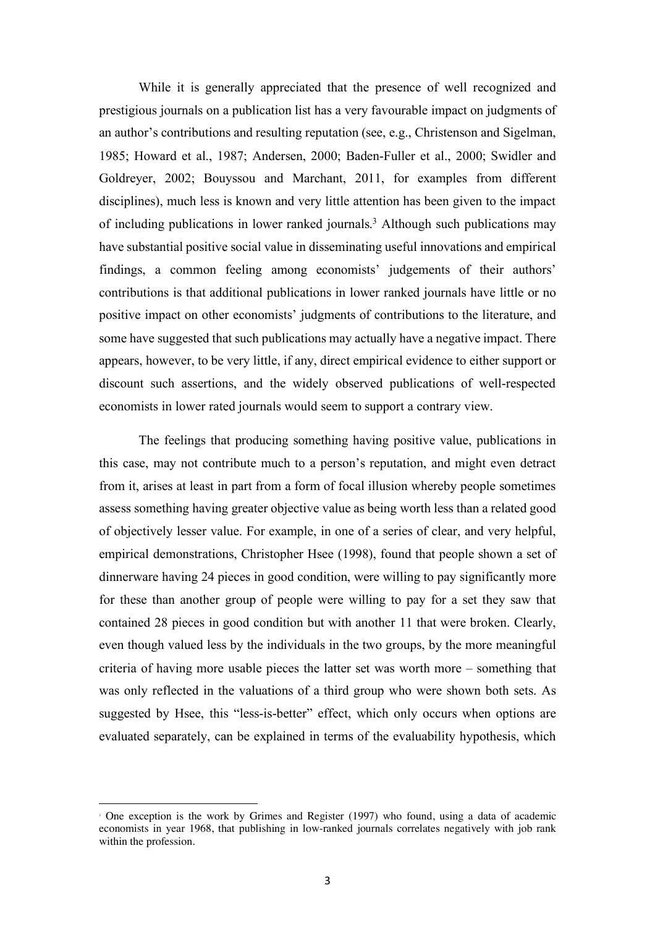While it is generally appreciated that the presence of well recognized and prestigious journals on a publication list has a very favourable impact on judgments of an author's contributions and resulting reputation (see, e.g., Christenson and Sigelman, 1985; Howard et al., 1987; Andersen, 2000; Baden-Fuller et al., 2000; Swidler and Goldreyer, 2002; Bouyssou and Marchant, 2011, for examples from different disciplines), much less is known and very little attention has been given to the impact of including publications in lower ranked journals.3 Although such publications may have substantial positive social value in disseminating useful innovations and empirical findings, a common feeling among economists' judgements of their authors' contributions is that additional publications in lower ranked journals have little or no positive impact on other economists' judgments of contributions to the literature, and some have suggested that such publications may actually have a negative impact. There appears, however, to be very little, if any, direct empirical evidence to either support or discount such assertions, and the widely observed publications of well-respected economists in lower rated journals would seem to support a contrary view.

The feelings that producing something having positive value, publications in this case, may not contribute much to a person's reputation, and might even detract from it, arises at least in part from a form of focal illusion whereby people sometimes assess something having greater objective value as being worth less than a related good of objectively lesser value. For example, in one of a series of clear, and very helpful, empirical demonstrations, Christopher Hsee (1998), found that people shown a set of dinnerware having 24 pieces in good condition, were willing to pay significantly more for these than another group of people were willing to pay for a set they saw that contained 28 pieces in good condition but with another 11 that were broken. Clearly, even though valued less by the individuals in the two groups, by the more meaningful criteria of having more usable pieces the latter set was worth more – something that was only reflected in the valuations of a third group who were shown both sets. As suggested by Hsee, this "less-is-better" effect, which only occurs when options are evaluated separately, can be explained in terms of the evaluability hypothesis, which

l

<sup>3</sup> One exception is the work by Grimes and Register (1997) who found, using a data of academic economists in year 1968, that publishing in low-ranked journals correlates negatively with job rank within the profession.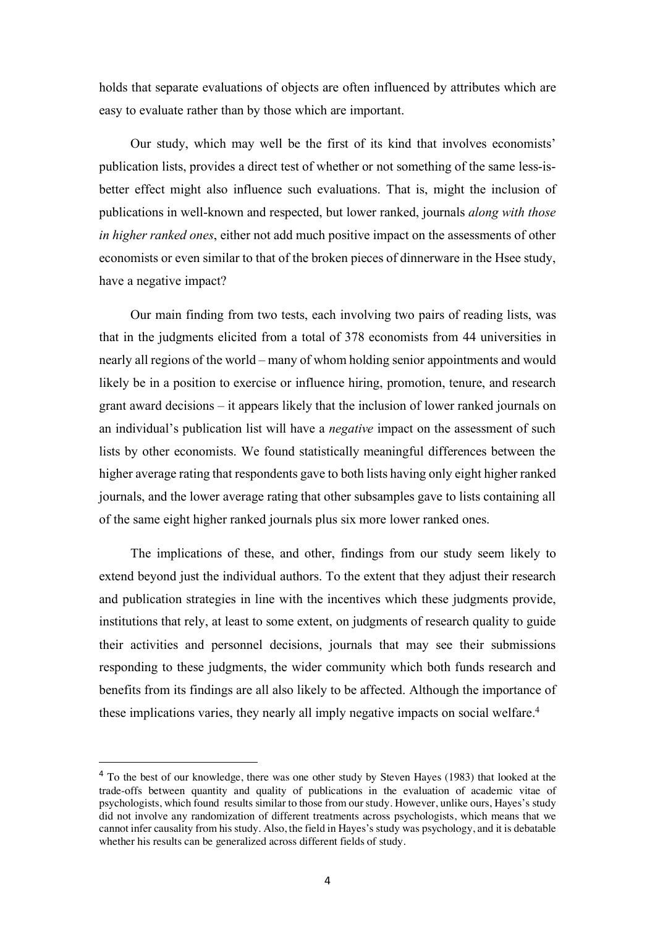holds that separate evaluations of objects are often influenced by attributes which are easy to evaluate rather than by those which are important.

Our study, which may well be the first of its kind that involves economists' publication lists, provides a direct test of whether or not something of the same less-isbetter effect might also influence such evaluations. That is, might the inclusion of publications in well-known and respected, but lower ranked, journals *along with those in higher ranked ones*, either not add much positive impact on the assessments of other economists or even similar to that of the broken pieces of dinnerware in the Hsee study, have a negative impact?

Our main finding from two tests, each involving two pairs of reading lists, was that in the judgments elicited from a total of 378 economists from 44 universities in nearly all regions of the world – many of whom holding senior appointments and would likely be in a position to exercise or influence hiring, promotion, tenure, and research grant award decisions – it appears likely that the inclusion of lower ranked journals on an individual's publication list will have a *negative* impact on the assessment of such lists by other economists. We found statistically meaningful differences between the higher average rating that respondents gave to both lists having only eight higher ranked journals, and the lower average rating that other subsamples gave to lists containing all of the same eight higher ranked journals plus six more lower ranked ones.

The implications of these, and other, findings from our study seem likely to extend beyond just the individual authors. To the extent that they adjust their research and publication strategies in line with the incentives which these judgments provide, institutions that rely, at least to some extent, on judgments of research quality to guide their activities and personnel decisions, journals that may see their submissions responding to these judgments, the wider community which both funds research and benefits from its findings are all also likely to be affected. Although the importance of these implications varies, they nearly all imply negative impacts on social welfare.<sup>4</sup>

<sup>&</sup>lt;sup>4</sup> To the best of our knowledge, there was one other study by Steven Hayes (1983) that looked at the trade-offs between quantity and quality of publications in the evaluation of academic vitae of psychologists, which found results similar to those from our study. However, unlike ours, Hayes's study did not involve any randomization of different treatments across psychologists, which means that we cannot infer causality from his study. Also, the field in Hayes's study was psychology, and it is debatable whether his results can be generalized across different fields of study.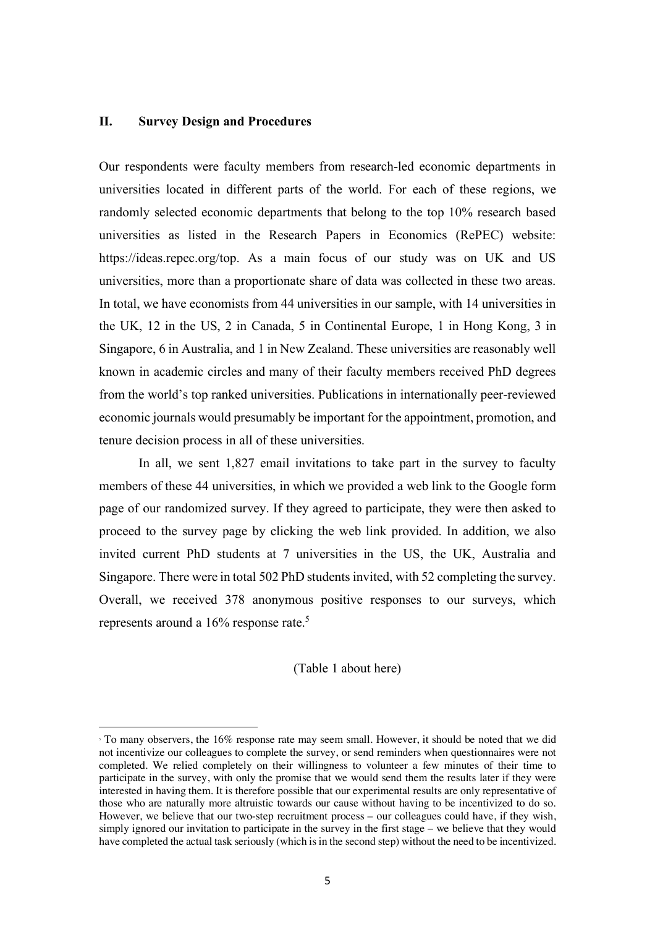## **II. Survey Design and Procedures**

l

Our respondents were faculty members from research-led economic departments in universities located in different parts of the world. For each of these regions, we randomly selected economic departments that belong to the top 10% research based universities as listed in the Research Papers in Economics (RePEC) website: https://ideas.repec.org/top. As a main focus of our study was on UK and US universities, more than a proportionate share of data was collected in these two areas. In total, we have economists from 44 universities in our sample, with 14 universities in the UK, 12 in the US, 2 in Canada, 5 in Continental Europe, 1 in Hong Kong, 3 in Singapore, 6 in Australia, and 1 in New Zealand. These universities are reasonably well known in academic circles and many of their faculty members received PhD degrees from the world's top ranked universities. Publications in internationally peer-reviewed economic journals would presumably be important for the appointment, promotion, and tenure decision process in all of these universities.

In all, we sent  $1,827$  email invitations to take part in the survey to faculty members of these 44 universities, in which we provided a web link to the Google form page of our randomized survey. If they agreed to participate, they were then asked to proceed to the survey page by clicking the web link provided. In addition, we also invited current PhD students at 7 universities in the US, the UK, Australia and Singapore. There were in total 502 PhD students invited, with 52 completing the survey. Overall, we received 378 anonymous positive responses to our surveys, which represents around a 16% response rate.<sup>5</sup>

## (Table 1 about here)

<sup>&</sup>lt;sup>5</sup> To many observers, the 16% response rate may seem small. However, it should be noted that we did not incentivize our colleagues to complete the survey, or send reminders when questionnaires were not completed. We relied completely on their willingness to volunteer a few minutes of their time to participate in the survey, with only the promise that we would send them the results later if they were interested in having them. It is therefore possible that our experimental results are only representative of those who are naturally more altruistic towards our cause without having to be incentivized to do so. However, we believe that our two-step recruitment process – our colleagues could have, if they wish, simply ignored our invitation to participate in the survey in the first stage – we believe that they would have completed the actual task seriously (which is in the second step) without the need to be incentivized.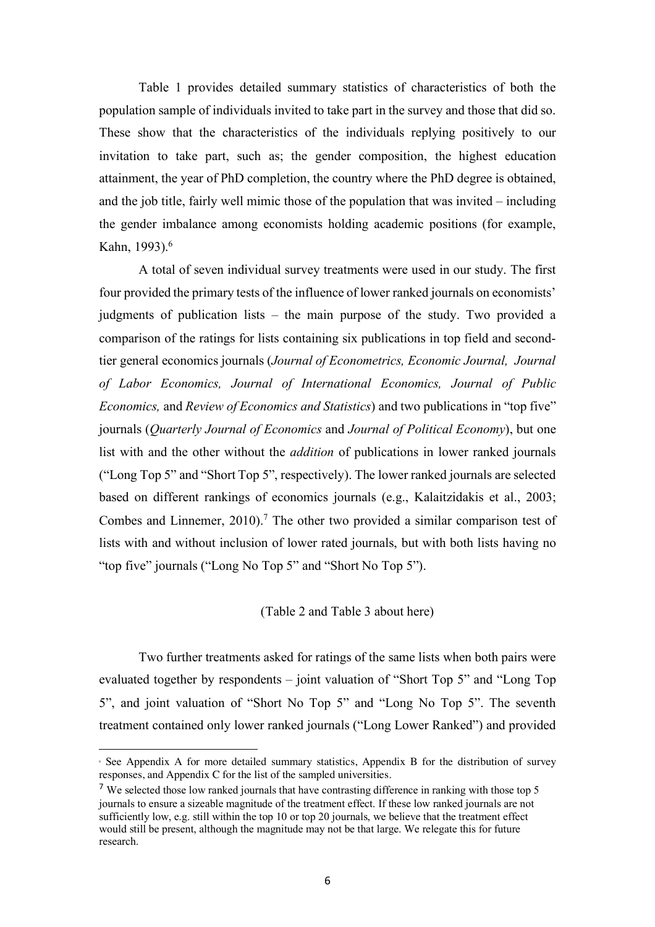Table 1 provides detailed summary statistics of characteristics of both the population sample of individuals invited to take part in the survey and those that did so. These show that the characteristics of the individuals replying positively to our invitation to take part, such as; the gender composition, the highest education attainment, the year of PhD completion, the country where the PhD degree is obtained, and the job title, fairly well mimic those of the population that was invited – including the gender imbalance among economists holding academic positions (for example, Kahn, 1993). 6

A total of seven individual survey treatments were used in our study. The first four provided the primary tests of the influence of lower ranked journals on economists' judgments of publication lists – the main purpose of the study. Two provided a comparison of the ratings for lists containing six publications in top field and secondtier general economics journals (*Journal of Econometrics, Economic Journal, Journal of Labor Economics, Journal of International Economics, Journal of Public Economics,* and *Review of Economics and Statistics*) and two publications in "top five" journals (*Quarterly Journal of Economics* and *Journal of Political Economy*), but one list with and the other without the *addition* of publications in lower ranked journals ("Long Top 5" and "Short Top 5", respectively). The lower ranked journals are selected based on different rankings of economics journals (e.g., Kalaitzidakis et al., 2003; Combes and Linnemer, 2010).<sup>7</sup> The other two provided a similar comparison test of lists with and without inclusion of lower rated journals, but with both lists having no "top five" journals ("Long No Top 5" and "Short No Top 5").

## (Table 2 and Table 3 about here)

Two further treatments asked for ratings of the same lists when both pairs were evaluated together by respondents – joint valuation of "Short Top 5" and "Long Top 5", and joint valuation of "Short No Top 5" and "Long No Top 5". The seventh treatment contained only lower ranked journals ("Long Lower Ranked") and provided

l

<sup>6</sup> See Appendix A for more detailed summary statistics, Appendix B for the distribution of survey responses, and Appendix C for the list of the sampled universities.

<sup>&</sup>lt;sup>7</sup> We selected those low ranked journals that have contrasting difference in ranking with those top 5 journals to ensure a sizeable magnitude of the treatment effect. If these low ranked journals are not sufficiently low, e.g. still within the top 10 or top 20 journals, we believe that the treatment effect would still be present, although the magnitude may not be that large. We relegate this for future research.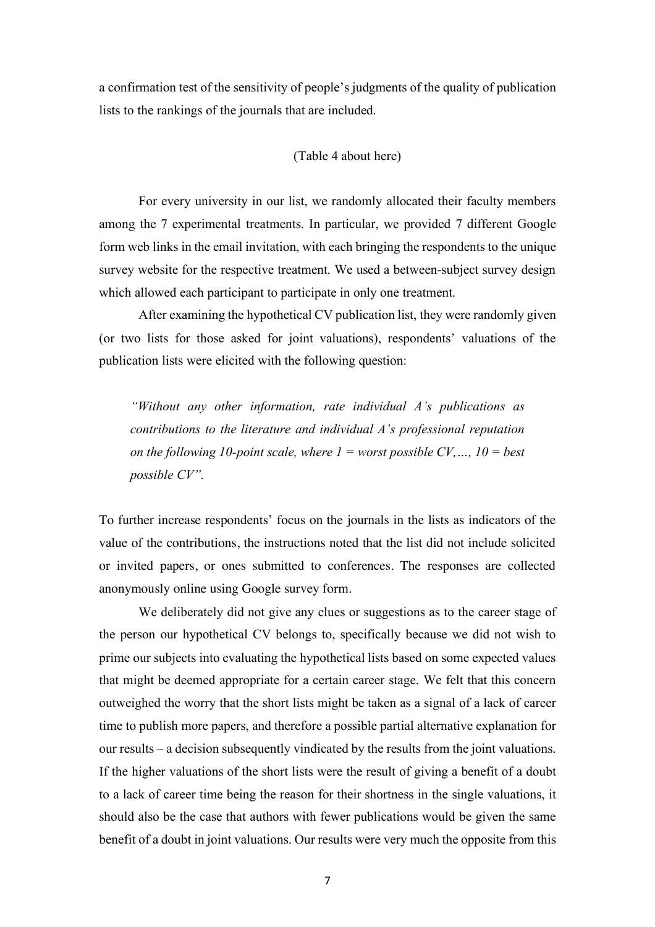a confirmation test of the sensitivity of people's judgments of the quality of publication lists to the rankings of the journals that are included.

## (Table 4 about here)

For every university in our list, we randomly allocated their faculty members among the 7 experimental treatments. In particular, we provided 7 different Google form web links in the email invitation, with each bringing the respondents to the unique survey website for the respective treatment. We used a between-subject survey design which allowed each participant to participate in only one treatment.

After examining the hypothetical CV publication list, they were randomly given (or two lists for those asked for joint valuations), respondents' valuations of the publication lists were elicited with the following question:

*"Without any other information, rate individual A's publications as contributions to the literature and individual A's professional reputation on the following 10-point scale, where 1 = worst possible CV,…, 10 = best possible CV".*

To further increase respondents' focus on the journals in the lists as indicators of the value of the contributions, the instructions noted that the list did not include solicited or invited papers, or ones submitted to conferences. The responses are collected anonymously online using Google survey form.

We deliberately did not give any clues or suggestions as to the career stage of the person our hypothetical CV belongs to, specifically because we did not wish to prime our subjects into evaluating the hypothetical lists based on some expected values that might be deemed appropriate for a certain career stage. We felt that this concern outweighed the worry that the short lists might be taken as a signal of a lack of career time to publish more papers, and therefore a possible partial alternative explanation for our results – a decision subsequently vindicated by the results from the joint valuations. If the higher valuations of the short lists were the result of giving a benefit of a doubt to a lack of career time being the reason for their shortness in the single valuations, it should also be the case that authors with fewer publications would be given the same benefit of a doubt in joint valuations. Our results were very much the opposite from this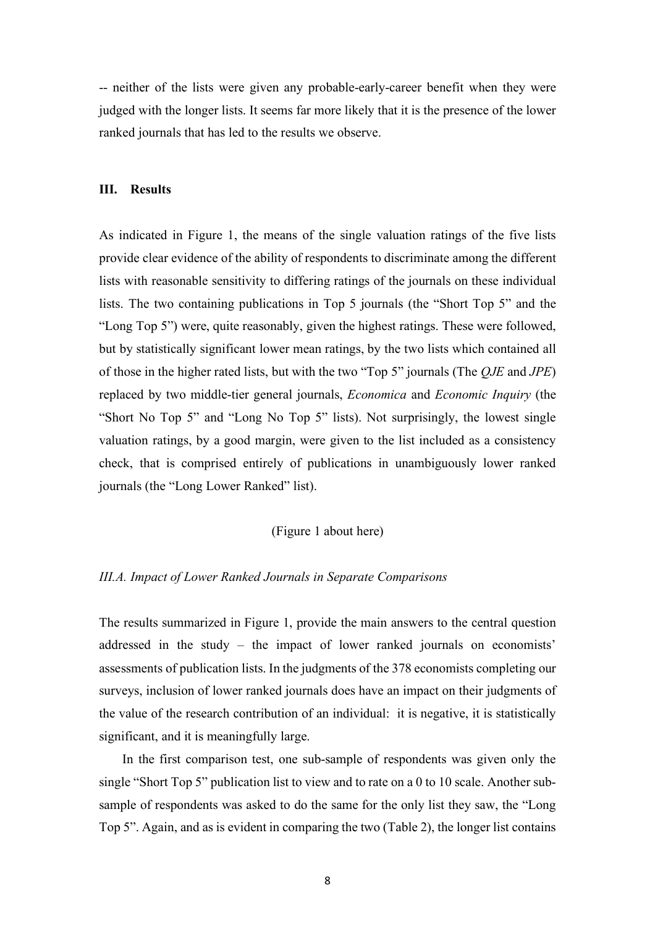-- neither of the lists were given any probable-early-career benefit when they were judged with the longer lists. It seems far more likely that it is the presence of the lower ranked journals that has led to the results we observe.

## **III. Results**

As indicated in Figure 1, the means of the single valuation ratings of the five lists provide clear evidence of the ability of respondents to discriminate among the different lists with reasonable sensitivity to differing ratings of the journals on these individual lists. The two containing publications in Top 5 journals (the "Short Top 5" and the "Long Top 5") were, quite reasonably, given the highest ratings. These were followed, but by statistically significant lower mean ratings, by the two lists which contained all of those in the higher rated lists, but with the two "Top 5" journals (The *QJE* and *JPE*) replaced by two middle-tier general journals, *Economica* and *Economic Inquiry* (the "Short No Top 5" and "Long No Top 5" lists). Not surprisingly, the lowest single valuation ratings, by a good margin, were given to the list included as a consistency check, that is comprised entirely of publications in unambiguously lower ranked journals (the "Long Lower Ranked" list).

## (Figure 1 about here)

### *III.A. Impact of Lower Ranked Journals in Separate Comparisons*

The results summarized in Figure 1, provide the main answers to the central question addressed in the study – the impact of lower ranked journals on economists' assessments of publication lists. In the judgments of the 378 economists completing our surveys, inclusion of lower ranked journals does have an impact on their judgments of the value of the research contribution of an individual: it is negative, it is statistically significant, and it is meaningfully large.

 In the first comparison test, one sub-sample of respondents was given only the single "Short Top 5" publication list to view and to rate on a 0 to 10 scale. Another subsample of respondents was asked to do the same for the only list they saw, the "Long Top 5". Again, and as is evident in comparing the two (Table 2), the longer list contains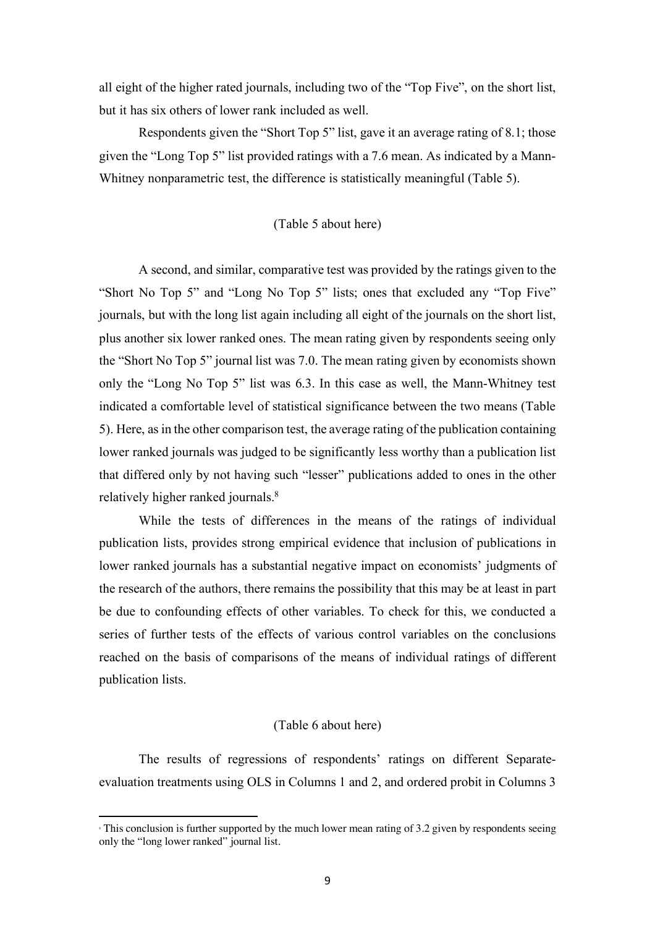all eight of the higher rated journals, including two of the "Top Five", on the short list, but it has six others of lower rank included as well.

 Respondents given the "Short Top 5" list, gave it an average rating of 8.1; those given the "Long Top 5" list provided ratings with a 7.6 mean. As indicated by a Mann-Whitney nonparametric test, the difference is statistically meaningful (Table 5).

## (Table 5 about here)

 A second, and similar, comparative test was provided by the ratings given to the "Short No Top 5" and "Long No Top 5" lists; ones that excluded any "Top Five" journals, but with the long list again including all eight of the journals on the short list, plus another six lower ranked ones. The mean rating given by respondents seeing only the "Short No Top 5" journal list was 7.0. The mean rating given by economists shown only the "Long No Top 5" list was 6.3. In this case as well, the Mann-Whitney test indicated a comfortable level of statistical significance between the two means (Table 5). Here, as in the other comparison test, the average rating of the publication containing lower ranked journals was judged to be significantly less worthy than a publication list that differed only by not having such "lesser" publications added to ones in the other relatively higher ranked journals.<sup>8</sup>

 While the tests of differences in the means of the ratings of individual publication lists, provides strong empirical evidence that inclusion of publications in lower ranked journals has a substantial negative impact on economists' judgments of the research of the authors, there remains the possibility that this may be at least in part be due to confounding effects of other variables. To check for this, we conducted a series of further tests of the effects of various control variables on the conclusions reached on the basis of comparisons of the means of individual ratings of different publication lists.

### (Table 6 about here)

The results of regressions of respondents' ratings on different Separateevaluation treatments using OLS in Columns 1 and 2, and ordered probit in Columns 3

l

<sup>&</sup>lt;sup>8</sup> This conclusion is further supported by the much lower mean rating of 3.2 given by respondents seeing only the "long lower ranked" journal list.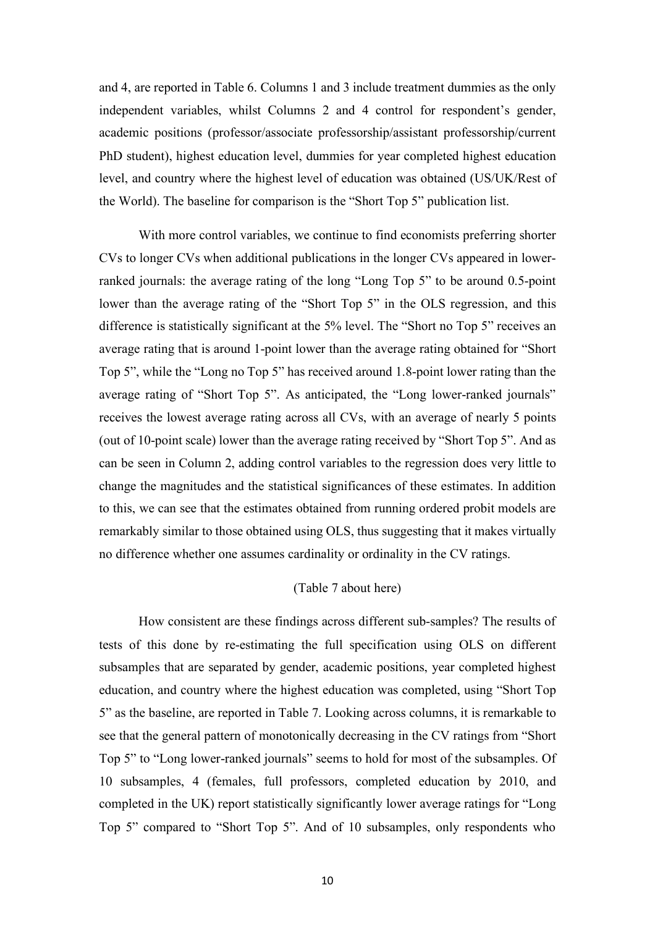and 4, are reported in Table 6. Columns 1 and 3 include treatment dummies as the only independent variables, whilst Columns 2 and 4 control for respondent's gender, academic positions (professor/associate professorship/assistant professorship/current PhD student), highest education level, dummies for year completed highest education level, and country where the highest level of education was obtained (US/UK/Rest of the World). The baseline for comparison is the "Short Top 5" publication list.

With more control variables, we continue to find economists preferring shorter CVs to longer CVs when additional publications in the longer CVs appeared in lowerranked journals: the average rating of the long "Long Top 5" to be around 0.5-point lower than the average rating of the "Short Top 5" in the OLS regression, and this difference is statistically significant at the 5% level. The "Short no Top 5" receives an average rating that is around 1-point lower than the average rating obtained for "Short Top 5", while the "Long no Top 5" has received around 1.8-point lower rating than the average rating of "Short Top 5". As anticipated, the "Long lower-ranked journals" receives the lowest average rating across all CVs, with an average of nearly 5 points (out of 10-point scale) lower than the average rating received by "Short Top 5". And as can be seen in Column 2, adding control variables to the regression does very little to change the magnitudes and the statistical significances of these estimates. In addition to this, we can see that the estimates obtained from running ordered probit models are remarkably similar to those obtained using OLS, thus suggesting that it makes virtually no difference whether one assumes cardinality or ordinality in the CV ratings.

## (Table 7 about here)

How consistent are these findings across different sub-samples? The results of tests of this done by re-estimating the full specification using OLS on different subsamples that are separated by gender, academic positions, year completed highest education, and country where the highest education was completed, using "Short Top 5" as the baseline, are reported in Table 7. Looking across columns, it is remarkable to see that the general pattern of monotonically decreasing in the CV ratings from "Short Top 5" to "Long lower-ranked journals" seems to hold for most of the subsamples. Of 10 subsamples, 4 (females, full professors, completed education by 2010, and completed in the UK) report statistically significantly lower average ratings for "Long Top 5" compared to "Short Top 5". And of 10 subsamples, only respondents who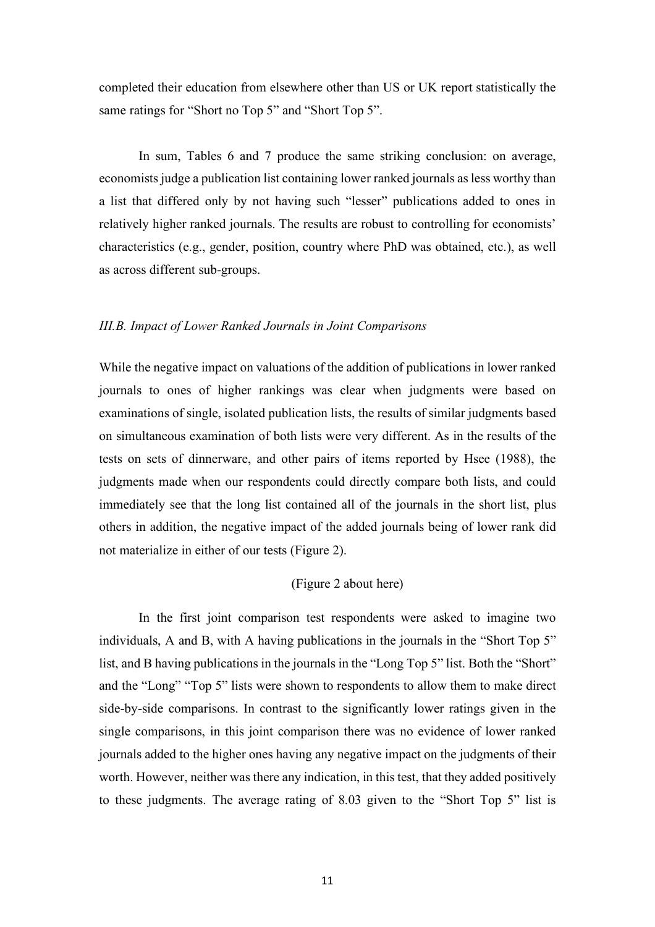completed their education from elsewhere other than US or UK report statistically the same ratings for "Short no Top 5" and "Short Top 5".

In sum, Tables 6 and 7 produce the same striking conclusion: on average, economists judge a publication list containing lower ranked journals as less worthy than a list that differed only by not having such "lesser" publications added to ones in relatively higher ranked journals. The results are robust to controlling for economists' characteristics (e.g., gender, position, country where PhD was obtained, etc.), as well as across different sub-groups.

## *III.B. Impact of Lower Ranked Journals in Joint Comparisons*

While the negative impact on valuations of the addition of publications in lower ranked journals to ones of higher rankings was clear when judgments were based on examinations of single, isolated publication lists, the results of similar judgments based on simultaneous examination of both lists were very different. As in the results of the tests on sets of dinnerware, and other pairs of items reported by Hsee (1988), the judgments made when our respondents could directly compare both lists, and could immediately see that the long list contained all of the journals in the short list, plus others in addition, the negative impact of the added journals being of lower rank did not materialize in either of our tests (Figure 2).

## (Figure 2 about here)

In the first joint comparison test respondents were asked to imagine two individuals, A and B, with A having publications in the journals in the "Short Top 5" list, and B having publications in the journals in the "Long Top 5" list. Both the "Short" and the "Long" "Top 5" lists were shown to respondents to allow them to make direct side-by-side comparisons. In contrast to the significantly lower ratings given in the single comparisons, in this joint comparison there was no evidence of lower ranked journals added to the higher ones having any negative impact on the judgments of their worth. However, neither was there any indication, in this test, that they added positively to these judgments. The average rating of 8.03 given to the "Short Top 5" list is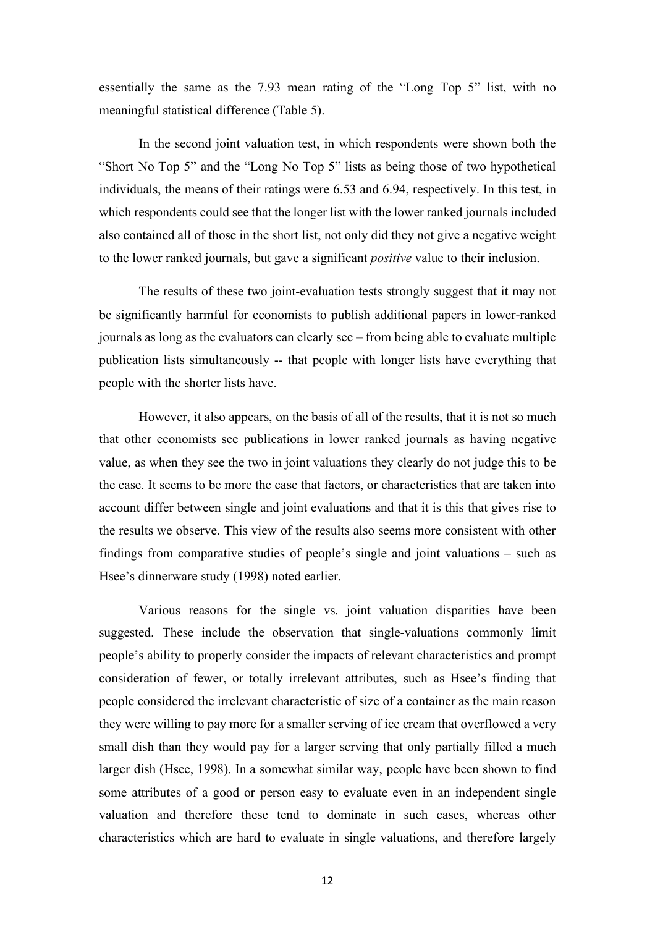essentially the same as the 7.93 mean rating of the "Long Top 5" list, with no meaningful statistical difference (Table 5).

In the second joint valuation test, in which respondents were shown both the "Short No Top 5" and the "Long No Top 5" lists as being those of two hypothetical individuals, the means of their ratings were 6.53 and 6.94, respectively. In this test, in which respondents could see that the longer list with the lower ranked journals included also contained all of those in the short list, not only did they not give a negative weight to the lower ranked journals, but gave a significant *positive* value to their inclusion.

The results of these two joint-evaluation tests strongly suggest that it may not be significantly harmful for economists to publish additional papers in lower-ranked journals as long as the evaluators can clearly see – from being able to evaluate multiple publication lists simultaneously -- that people with longer lists have everything that people with the shorter lists have.

However, it also appears, on the basis of all of the results, that it is not so much that other economists see publications in lower ranked journals as having negative value, as when they see the two in joint valuations they clearly do not judge this to be the case. It seems to be more the case that factors, or characteristics that are taken into account differ between single and joint evaluations and that it is this that gives rise to the results we observe. This view of the results also seems more consistent with other findings from comparative studies of people's single and joint valuations – such as Hsee's dinnerware study (1998) noted earlier.

Various reasons for the single vs. joint valuation disparities have been suggested. These include the observation that single-valuations commonly limit people's ability to properly consider the impacts of relevant characteristics and prompt consideration of fewer, or totally irrelevant attributes, such as Hsee's finding that people considered the irrelevant characteristic of size of a container as the main reason they were willing to pay more for a smaller serving of ice cream that overflowed a very small dish than they would pay for a larger serving that only partially filled a much larger dish (Hsee, 1998). In a somewhat similar way, people have been shown to find some attributes of a good or person easy to evaluate even in an independent single valuation and therefore these tend to dominate in such cases, whereas other characteristics which are hard to evaluate in single valuations, and therefore largely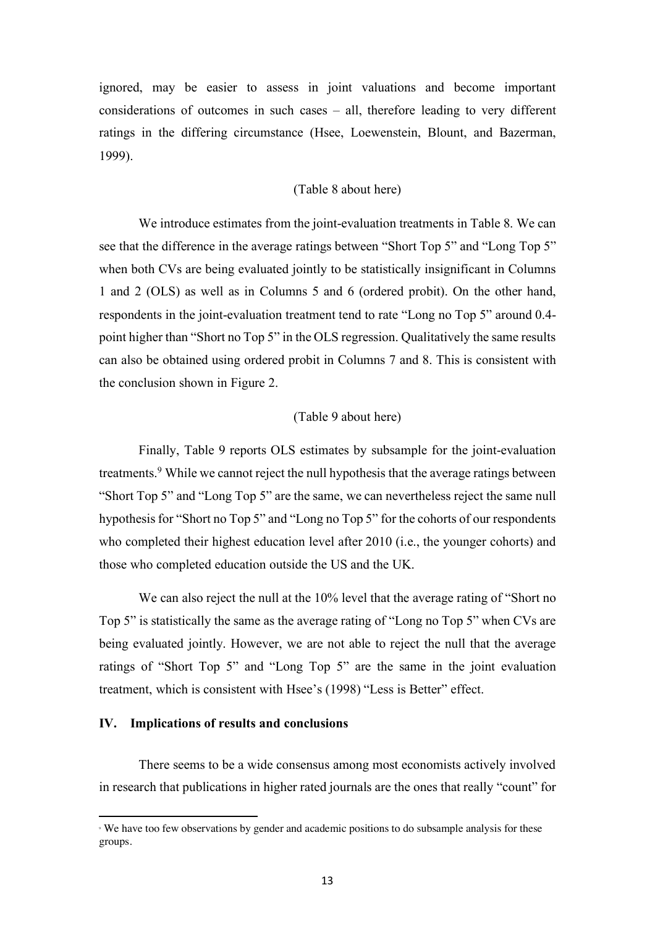ignored, may be easier to assess in joint valuations and become important considerations of outcomes in such cases – all, therefore leading to very different ratings in the differing circumstance (Hsee, Loewenstein, Blount, and Bazerman, 1999).

## (Table 8 about here)

We introduce estimates from the joint-evaluation treatments in Table 8. We can see that the difference in the average ratings between "Short Top 5" and "Long Top 5" when both CVs are being evaluated jointly to be statistically insignificant in Columns 1 and 2 (OLS) as well as in Columns 5 and 6 (ordered probit). On the other hand, respondents in the joint-evaluation treatment tend to rate "Long no Top 5" around 0.4 point higher than "Short no Top 5" in the OLS regression. Qualitatively the same results can also be obtained using ordered probit in Columns 7 and 8. This is consistent with the conclusion shown in Figure 2.

## (Table 9 about here)

Finally, Table 9 reports OLS estimates by subsample for the joint-evaluation treatments.<sup>9</sup> While we cannot reject the null hypothesis that the average ratings between "Short Top 5" and "Long Top 5" are the same, we can nevertheless reject the same null hypothesis for "Short no Top 5" and "Long no Top 5" for the cohorts of our respondents who completed their highest education level after 2010 (i.e., the younger cohorts) and those who completed education outside the US and the UK.

We can also reject the null at the 10% level that the average rating of "Short no Top 5" is statistically the same as the average rating of "Long no Top 5" when CVs are being evaluated jointly. However, we are not able to reject the null that the average ratings of "Short Top 5" and "Long Top 5" are the same in the joint evaluation treatment, which is consistent with Hsee's (1998) "Less is Better" effect.

## **IV. Implications of results and conclusions**

l

 There seems to be a wide consensus among most economists actively involved in research that publications in higher rated journals are the ones that really "count" for

<sup>9</sup> We have too few observations by gender and academic positions to do subsample analysis for these groups.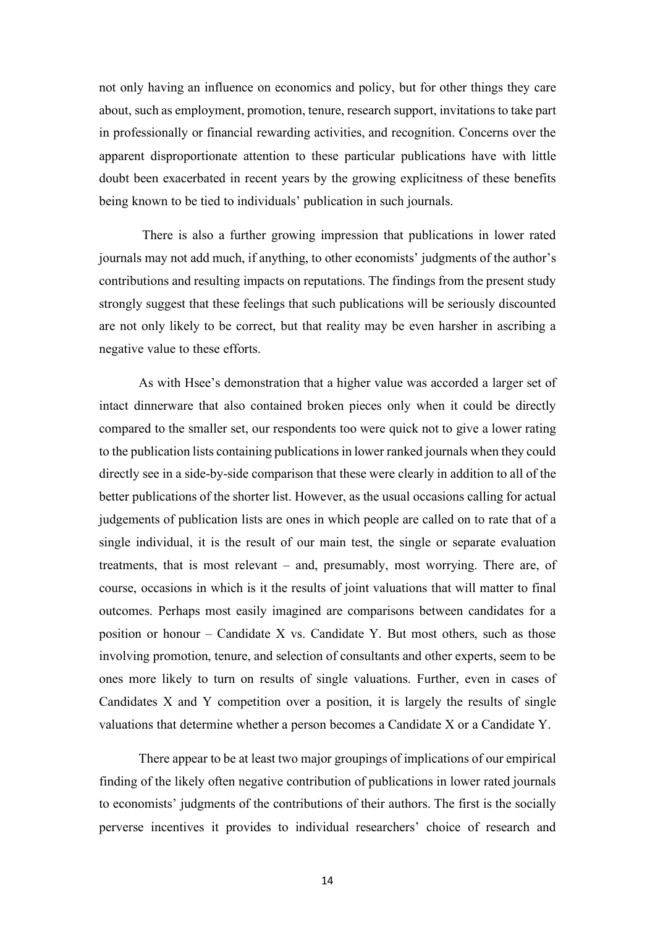not only having an influence on economics and policy, but for other things they care about, such as employment, promotion, tenure, research support, invitations to take part in professionally or financial rewarding activities, and recognition. Concerns over the apparent disproportionate attention to these particular publications have with little doubt been exacerbated in recent years by the growing explicitness of these benefits being known to be tied to individuals' publication in such journals.

 There is also a further growing impression that publications in lower rated journals may not add much, if anything, to other economists' judgments of the author's contributions and resulting impacts on reputations. The findings from the present study strongly suggest that these feelings that such publications will be seriously discounted are not only likely to be correct, but that reality may be even harsher in ascribing a negative value to these efforts.

 As with Hsee's demonstration that a higher value was accorded a larger set of intact dinnerware that also contained broken pieces only when it could be directly compared to the smaller set, our respondents too were quick not to give a lower rating to the publication lists containing publications in lower ranked journals when they could directly see in a side-by-side comparison that these were clearly in addition to all of the better publications of the shorter list. However, as the usual occasions calling for actual judgements of publication lists are ones in which people are called on to rate that of a single individual, it is the result of our main test, the single or separate evaluation treatments, that is most relevant – and, presumably, most worrying. There are, of course, occasions in which is it the results of joint valuations that will matter to final outcomes. Perhaps most easily imagined are comparisons between candidates for a position or honour – Candidate X vs. Candidate Y. But most others, such as those involving promotion, tenure, and selection of consultants and other experts, seem to be ones more likely to turn on results of single valuations. Further, even in cases of Candidates X and Y competition over a position, it is largely the results of single valuations that determine whether a person becomes a Candidate X or a Candidate Y.

There appear to be at least two major groupings of implications of our empirical finding of the likely often negative contribution of publications in lower rated journals to economists' judgments of the contributions of their authors. The first is the socially perverse incentives it provides to individual researchers' choice of research and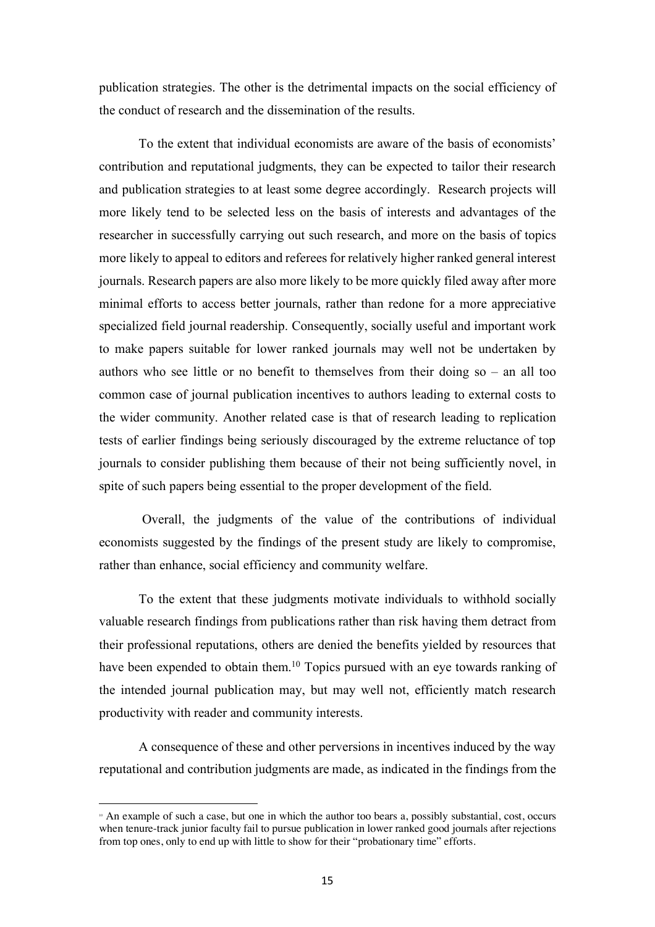publication strategies. The other is the detrimental impacts on the social efficiency of the conduct of research and the dissemination of the results.

 To the extent that individual economists are aware of the basis of economists' contribution and reputational judgments, they can be expected to tailor their research and publication strategies to at least some degree accordingly. Research projects will more likely tend to be selected less on the basis of interests and advantages of the researcher in successfully carrying out such research, and more on the basis of topics more likely to appeal to editors and referees for relatively higher ranked general interest journals. Research papers are also more likely to be more quickly filed away after more minimal efforts to access better journals, rather than redone for a more appreciative specialized field journal readership. Consequently, socially useful and important work to make papers suitable for lower ranked journals may well not be undertaken by authors who see little or no benefit to themselves from their doing so  $-$  an all too common case of journal publication incentives to authors leading to external costs to the wider community. Another related case is that of research leading to replication tests of earlier findings being seriously discouraged by the extreme reluctance of top journals to consider publishing them because of their not being sufficiently novel, in spite of such papers being essential to the proper development of the field.

 Overall, the judgments of the value of the contributions of individual economists suggested by the findings of the present study are likely to compromise, rather than enhance, social efficiency and community welfare.

 To the extent that these judgments motivate individuals to withhold socially valuable research findings from publications rather than risk having them detract from their professional reputations, others are denied the benefits yielded by resources that have been expended to obtain them.<sup>10</sup> Topics pursued with an eye towards ranking of the intended journal publication may, but may well not, efficiently match research productivity with reader and community interests.

 A consequence of these and other perversions in incentives induced by the way reputational and contribution judgments are made, as indicated in the findings from the

l

<sup>10</sup> An example of such a case, but one in which the author too bears a, possibly substantial, cost, occurs when tenure-track junior faculty fail to pursue publication in lower ranked good journals after rejections from top ones, only to end up with little to show for their "probationary time" efforts.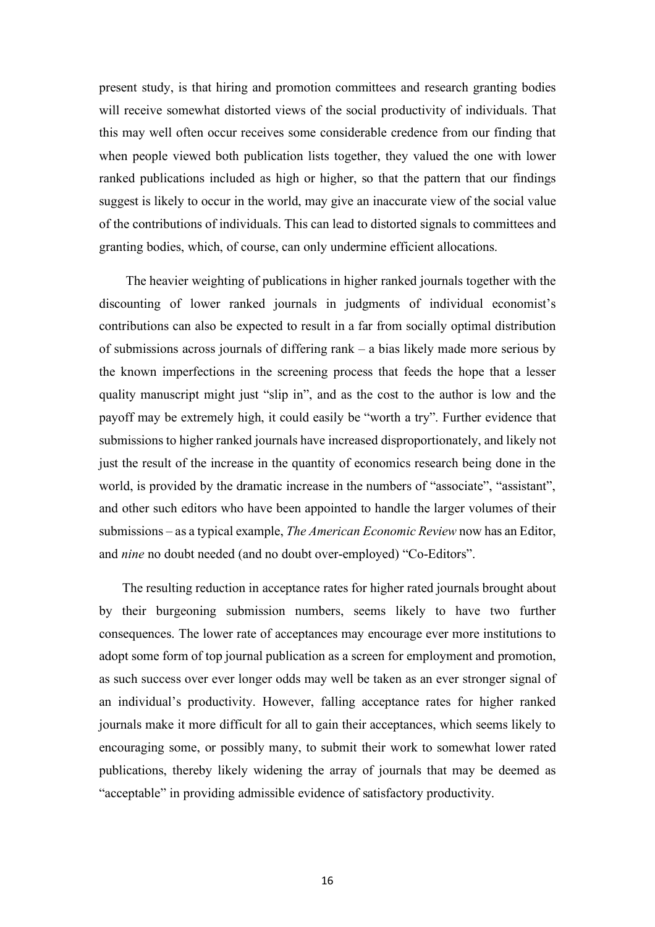present study, is that hiring and promotion committees and research granting bodies will receive somewhat distorted views of the social productivity of individuals. That this may well often occur receives some considerable credence from our finding that when people viewed both publication lists together, they valued the one with lower ranked publications included as high or higher, so that the pattern that our findings suggest is likely to occur in the world, may give an inaccurate view of the social value of the contributions of individuals. This can lead to distorted signals to committees and granting bodies, which, of course, can only undermine efficient allocations.

 The heavier weighting of publications in higher ranked journals together with the discounting of lower ranked journals in judgments of individual economist's contributions can also be expected to result in a far from socially optimal distribution of submissions across journals of differing rank – a bias likely made more serious by the known imperfections in the screening process that feeds the hope that a lesser quality manuscript might just "slip in", and as the cost to the author is low and the payoff may be extremely high, it could easily be "worth a try". Further evidence that submissions to higher ranked journals have increased disproportionately, and likely not just the result of the increase in the quantity of economics research being done in the world, is provided by the dramatic increase in the numbers of "associate", "assistant", and other such editors who have been appointed to handle the larger volumes of their submissions – as a typical example, *The American Economic Review* now has an Editor, and *nine* no doubt needed (and no doubt over-employed) "Co-Editors".

 The resulting reduction in acceptance rates for higher rated journals brought about by their burgeoning submission numbers, seems likely to have two further consequences. The lower rate of acceptances may encourage ever more institutions to adopt some form of top journal publication as a screen for employment and promotion, as such success over ever longer odds may well be taken as an ever stronger signal of an individual's productivity. However, falling acceptance rates for higher ranked journals make it more difficult for all to gain their acceptances, which seems likely to encouraging some, or possibly many, to submit their work to somewhat lower rated publications, thereby likely widening the array of journals that may be deemed as "acceptable" in providing admissible evidence of satisfactory productivity.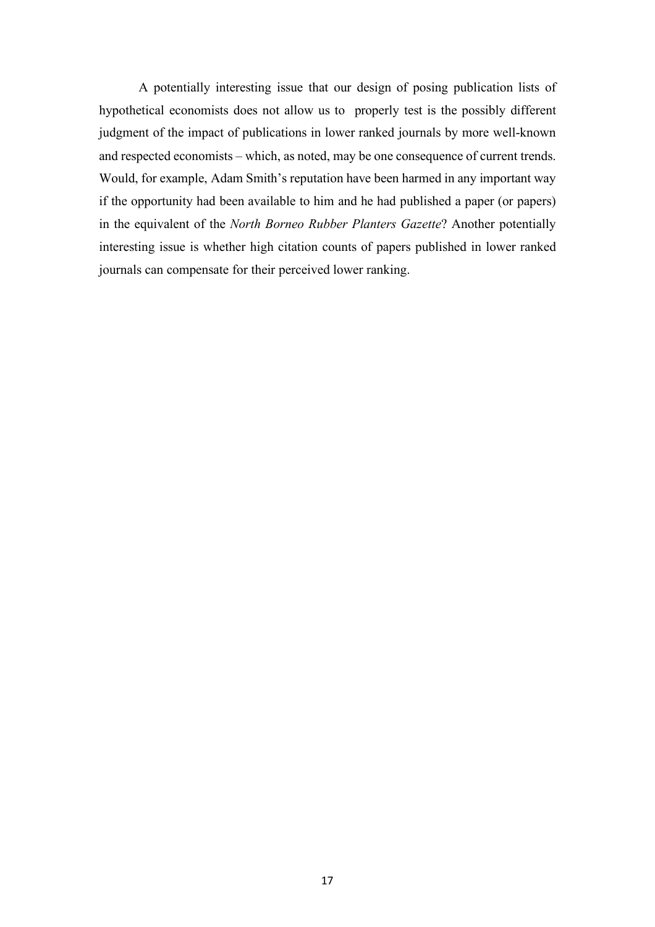A potentially interesting issue that our design of posing publication lists of hypothetical economists does not allow us to properly test is the possibly different judgment of the impact of publications in lower ranked journals by more well-known and respected economists – which, as noted, may be one consequence of current trends. Would, for example, Adam Smith's reputation have been harmed in any important way if the opportunity had been available to him and he had published a paper (or papers) in the equivalent of the *North Borneo Rubber Planters Gazette*? Another potentially interesting issue is whether high citation counts of papers published in lower ranked journals can compensate for their perceived lower ranking.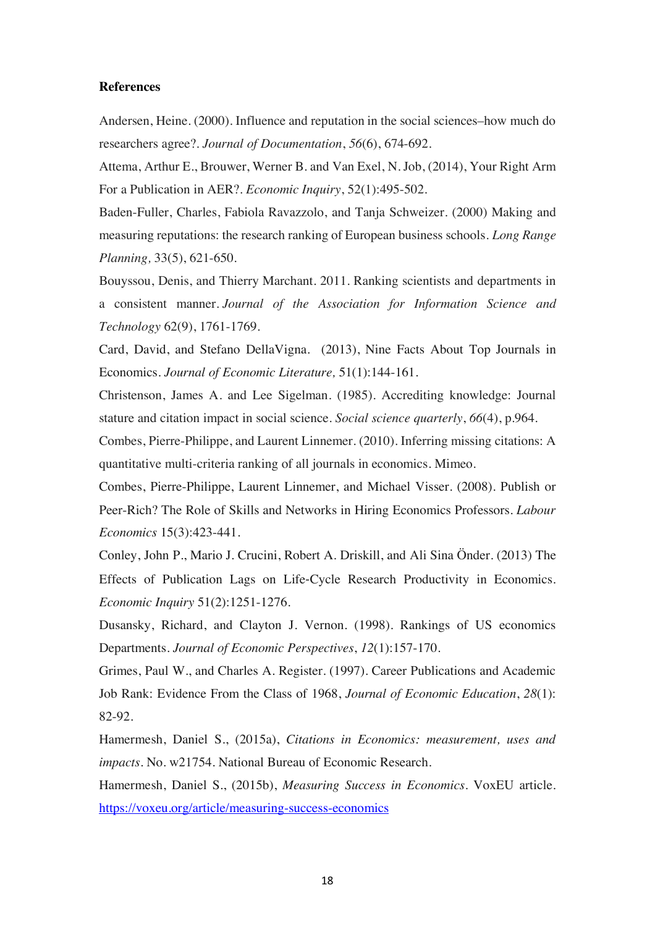#### **References**

Andersen, Heine. (2000). Influence and reputation in the social sciences–how much do researchers agree?. *Journal of Documentation*, *56*(6), 674-692.

Attema, Arthur E., Brouwer, Werner B. and Van Exel, N. Job, (2014), Your Right Arm For a Publication in AER?. *Economic Inquiry*, 52(1):495-502.

Baden-Fuller, Charles, Fabiola Ravazzolo, and Tanja Schweizer. (2000) Making and measuring reputations: the research ranking of European business schools. *Long Range Planning,* 33(5), 621-650.

Bouyssou, Denis, and Thierry Marchant. 2011. Ranking scientists and departments in a consistent manner. *Journal of the Association for Information Science and Technology* 62(9), 1761-1769.

Card, David, and Stefano DellaVigna. (2013), Nine Facts About Top Journals in Economics. *Journal of Economic Literature,* 51(1):144-161.

Christenson, James A. and Lee Sigelman. (1985). Accrediting knowledge: Journal stature and citation impact in social science. *Social science quarterly*, *66*(4), p.964.

Combes, Pierre-Philippe, and Laurent Linnemer. (2010). Inferring missing citations: A quantitative multi-criteria ranking of all journals in economics. Mimeo.

Combes, Pierre-Philippe, Laurent Linnemer, and Michael Visser. (2008). Publish or Peer-Rich? The Role of Skills and Networks in Hiring Economics Professors. *Labour Economics* 15(3):423-441.

Conley, John P., Mario J. Crucini, Robert A. Driskill, and Ali Sina Önder. (2013) The Effects of Publication Lags on Life-Cycle Research Productivity in Economics. *Economic Inquiry* 51(2):1251-1276.

Dusansky, Richard, and Clayton J. Vernon. (1998). Rankings of US economics Departments. *Journal of Economic Perspectives*, *12*(1):157-170.

Grimes, Paul W., and Charles A. Register. (1997). Career Publications and Academic Job Rank: Evidence From the Class of 1968, *Journal of Economic Education*, *28*(1): 82-92.

Hamermesh, Daniel S., (2015a), *Citations in Economics: measurement, uses and impacts*. No. w21754. National Bureau of Economic Research.

Hamermesh, Daniel S., (2015b), *Measuring Success in Economics*. VoxEU article. https://voxeu.org/article/measuring-success-economics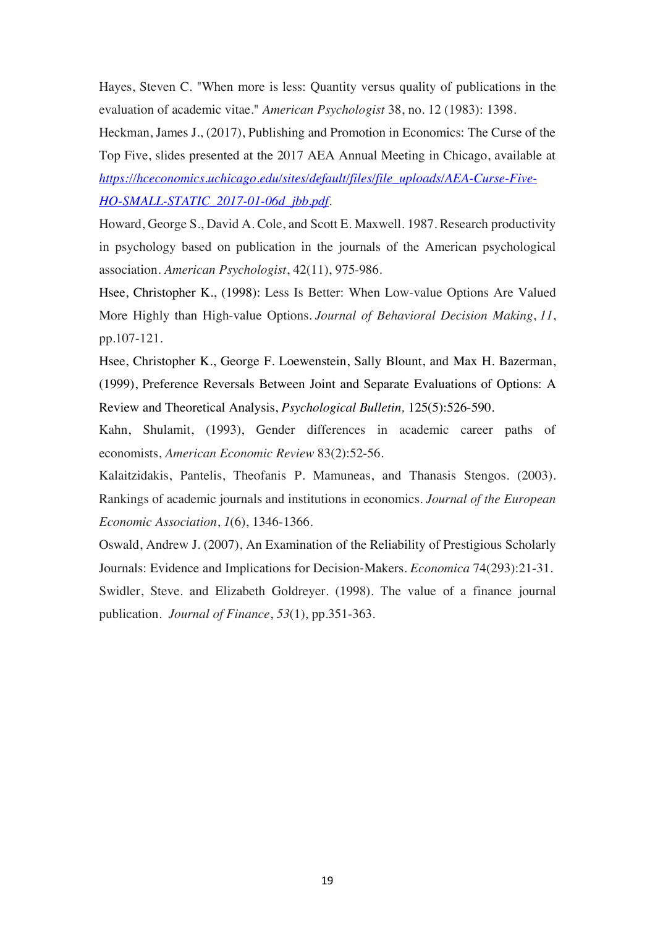Hayes, Steven C. "When more is less: Quantity versus quality of publications in the evaluation of academic vitae." *American Psychologist* 38, no. 12 (1983): 1398.

Heckman, James J., (2017), Publishing and Promotion in Economics: The Curse of the Top Five, slides presented at the 2017 AEA Annual Meeting in Chicago, available at *https://hceconomics.uchicago.edu/sites/default/files/file\_uploads/AEA-Curse-Five-HO-SMALL-STATIC\_2017-01-06d\_jbb.pdf*.

Howard, George S., David A. Cole, and Scott E. Maxwell. 1987. Research productivity in psychology based on publication in the journals of the American psychological association. *American Psychologist*, 42(11), 975-986.

Hsee, Christopher K., (1998): Less Is Better: When Low-value Options Are Valued More Highly than High-value Options. *Journal of Behavioral Decision Making*, *11*, pp.107-121.

Hsee, Christopher K., George F. Loewenstein, Sally Blount, and Max H. Bazerman, (1999), Preference Reversals Between Joint and Separate Evaluations of Options: A Review and Theoretical Analysis, *Psychological Bulletin,* 125(5):526-590.

Kahn, Shulamit, (1993), Gender differences in academic career paths of economists, *American Economic Review* 83(2):52-56.

Kalaitzidakis, Pantelis, Theofanis P. Mamuneas, and Thanasis Stengos. (2003). Rankings of academic journals and institutions in economics. *Journal of the European Economic Association*, *1*(6), 1346-1366.

Oswald, Andrew J. (2007), An Examination of the Reliability of Prestigious Scholarly Journals: Evidence and Implications for Decision-Makers. *Economica* 74(293):21-31. Swidler, Steve. and Elizabeth Goldreyer. (1998). The value of a finance journal publication. *Journal of Finance*, *53*(1), pp.351-363.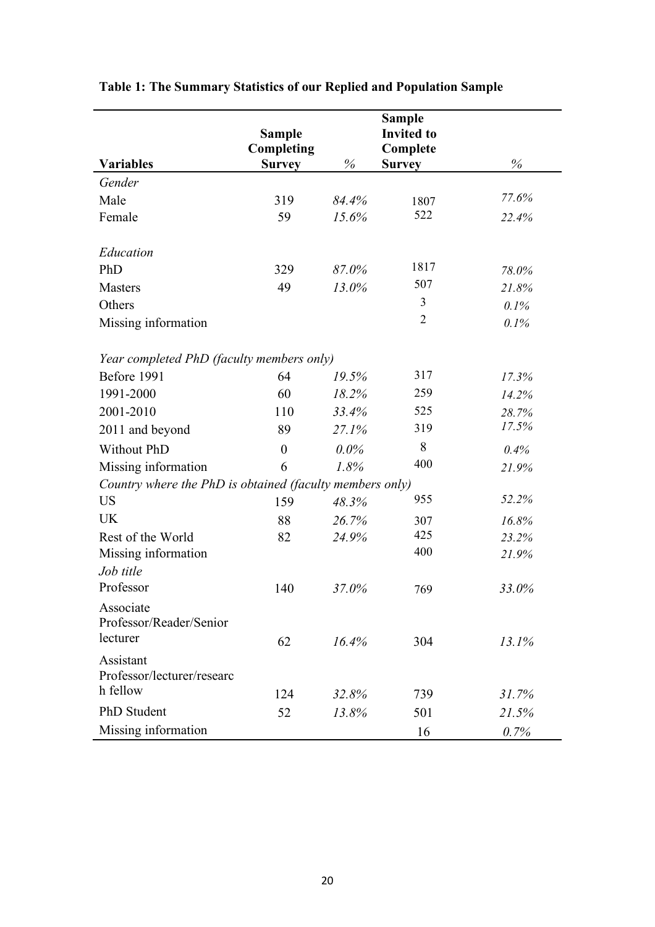|                                                          | <b>Sample</b><br>Completing |         | <b>Sample</b><br><b>Invited to</b><br>Complete |       |
|----------------------------------------------------------|-----------------------------|---------|------------------------------------------------|-------|
| <b>Variables</b>                                         | <b>Survey</b>               | %       | <b>Survey</b>                                  | $\%$  |
| Gender                                                   |                             |         |                                                |       |
| Male                                                     | 319                         | 84.4%   | 1807                                           | 77.6% |
| Female                                                   | 59                          | 15.6%   | 522                                            | 22.4% |
| Education                                                |                             |         |                                                |       |
| PhD                                                      | 329                         | 87.0%   | 1817                                           | 78.0% |
| Masters                                                  | 49                          | 13.0%   | 507                                            | 21.8% |
| Others                                                   |                             |         | 3                                              | 0.1%  |
| Missing information                                      |                             |         | $\overline{2}$                                 | 0.1%  |
| Year completed PhD (faculty members only)                |                             |         |                                                |       |
| Before 1991                                              | 64                          | 19.5%   | 317                                            | 17.3% |
| 1991-2000                                                | 60                          | 18.2%   | 259                                            | 14.2% |
| 2001-2010                                                | 110                         | 33.4%   | 525                                            | 28.7% |
| 2011 and beyond                                          | 89                          | 27.1%   | 319                                            | 17.5% |
| Without PhD                                              | $\boldsymbol{0}$            | $0.0\%$ | 8                                              | 0.4%  |
| Missing information                                      | 6                           | 1.8%    | 400                                            | 21.9% |
| Country where the PhD is obtained (faculty members only) |                             |         |                                                |       |
| <b>US</b>                                                | 159                         | 48.3%   | 955                                            | 52.2% |
| UK                                                       | 88                          | 26.7%   | 307                                            | 16.8% |
| Rest of the World                                        | 82                          | 24.9%   | 425                                            | 23.2% |
| Missing information                                      |                             |         | 400                                            | 21.9% |
| Job title<br>Professor                                   | 140                         | 37.0%   | 769                                            | 33.0% |
| Associate<br>Professor/Reader/Senior                     |                             |         |                                                |       |
| lecturer                                                 | 62                          | 16.4%   | 304                                            | 13.1% |
| Assistant<br>Professor/lecturer/researc                  |                             |         |                                                |       |
| h fellow                                                 | 124                         | 32.8%   | 739                                            | 31.7% |
| PhD Student                                              | 52                          | 13.8%   | 501                                            | 21.5% |
| Missing information                                      |                             |         | 16                                             | 0.7%  |

# **Table 1: The Summary Statistics of our Replied and Population Sample**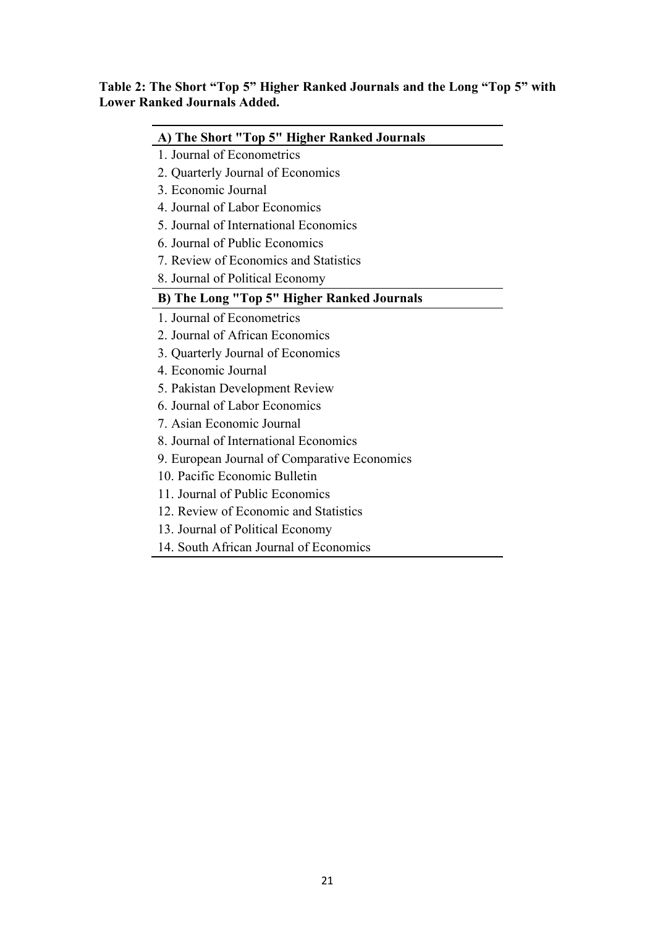## **Table 2: The Short "Top 5" Higher Ranked Journals and the Long "Top 5" with Lower Ranked Journals Added.**

## **A) The Short "Top 5" Higher Ranked Journals**

- 1. Journal of Econometrics
- 2. Quarterly Journal of Economics
- 3. Economic Journal
- 4. Journal of Labor Economics
- 5. Journal of International Economics
- 6. Journal of Public Economics
- 7. Review of Economics and Statistics
- 8. Journal of Political Economy

## **B) The Long "Top 5" Higher Ranked Journals**

- 1. Journal of Econometrics
- 2. Journal of African Economics
- 3. Quarterly Journal of Economics
- 4. Economic Journal
- 5. Pakistan Development Review
- 6. Journal of Labor Economics
- 7. Asian Economic Journal
- 8. Journal of International Economics
- 9. European Journal of Comparative Economics
- 10. Pacific Economic Bulletin
- 11. Journal of Public Economics
- 12. Review of Economic and Statistics
- 13. Journal of Political Economy
- 14. South African Journal of Economics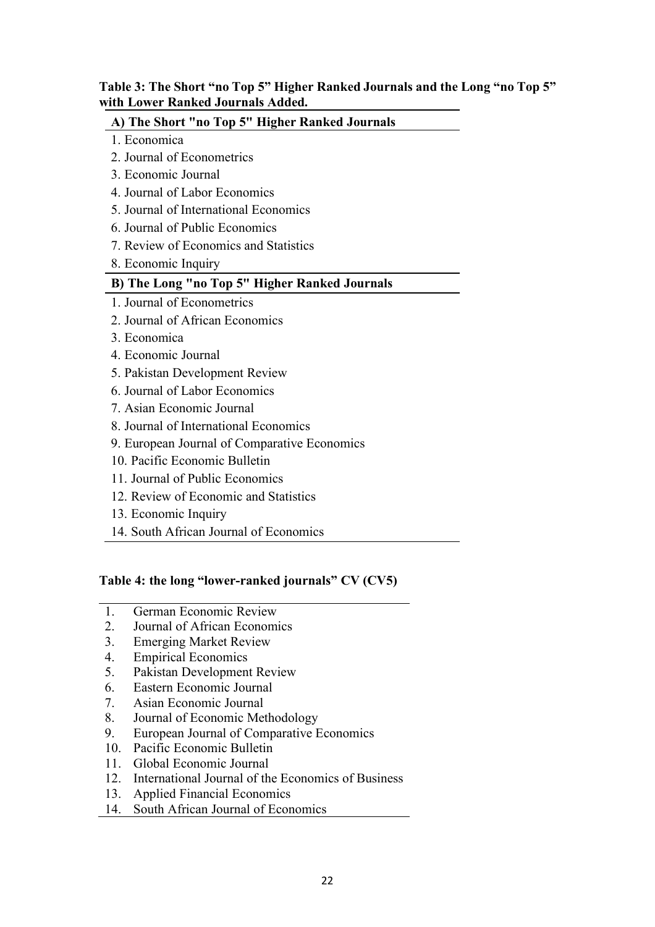## **Table 3: The Short "no Top 5" Higher Ranked Journals and the Long "no Top 5" with Lower Ranked Journals Added.**

## **A) The Short "no Top 5" Higher Ranked Journals**

- 1. Economica
- 2. Journal of Econometrics
- 3. Economic Journal
- 4. Journal of Labor Economics
- 5. Journal of International Economics
- 6. Journal of Public Economics
- 7. Review of Economics and Statistics
- 8. Economic Inquiry

## **B) The Long "no Top 5" Higher Ranked Journals**

- 1. Journal of Econometrics
- 2. Journal of African Economics
- 3. Economica
- 4. Economic Journal
- 5. Pakistan Development Review
- 6. Journal of Labor Economics
- 7. Asian Economic Journal
- 8. Journal of International Economics
- 9. European Journal of Comparative Economics
- 10. Pacific Economic Bulletin
- 11. Journal of Public Economics
- 12. Review of Economic and Statistics
- 13. Economic Inquiry
- 14. South African Journal of Economics

## **Table 4: the long "lower-ranked journals" CV (CV5)**

- 1. German Economic Review
- 2. Journal of African Economics
- 3. Emerging Market Review
- 4. Empirical Economics
- 5. Pakistan Development Review
- 6. Eastern Economic Journal
- 7. Asian Economic Journal
- 8. Journal of Economic Methodology
- 9. European Journal of Comparative Economics
- 10. Pacific Economic Bulletin
- 11. Global Economic Journal
- 12. International Journal of the Economics of Business
- 13. Applied Financial Economics
- 14. South African Journal of Economics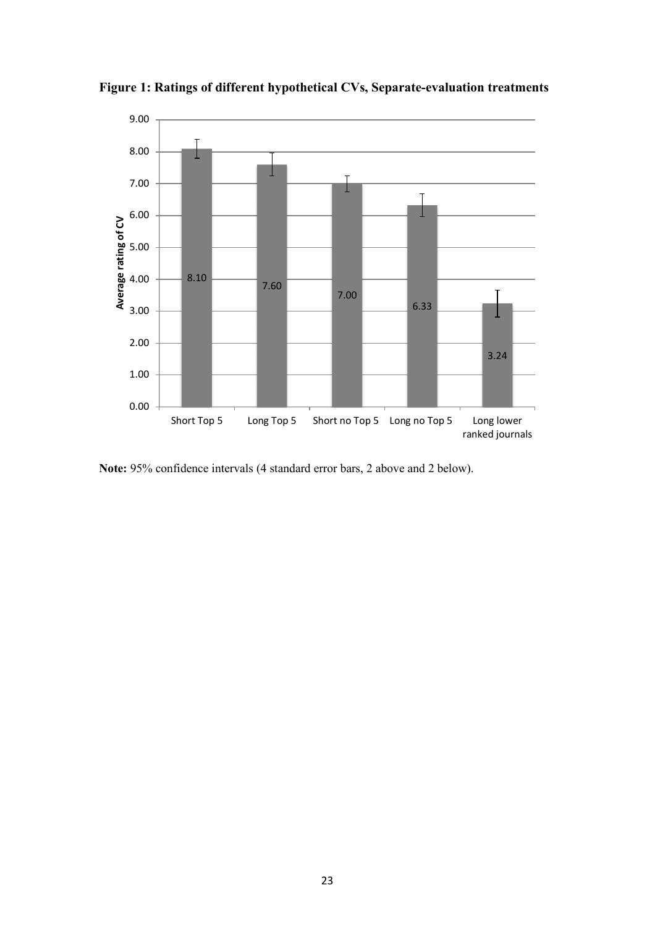

**Figure 1: Ratings of different hypothetical CVs, Separate-evaluation treatments** 

Note: 95% confidence intervals (4 standard error bars, 2 above and 2 below).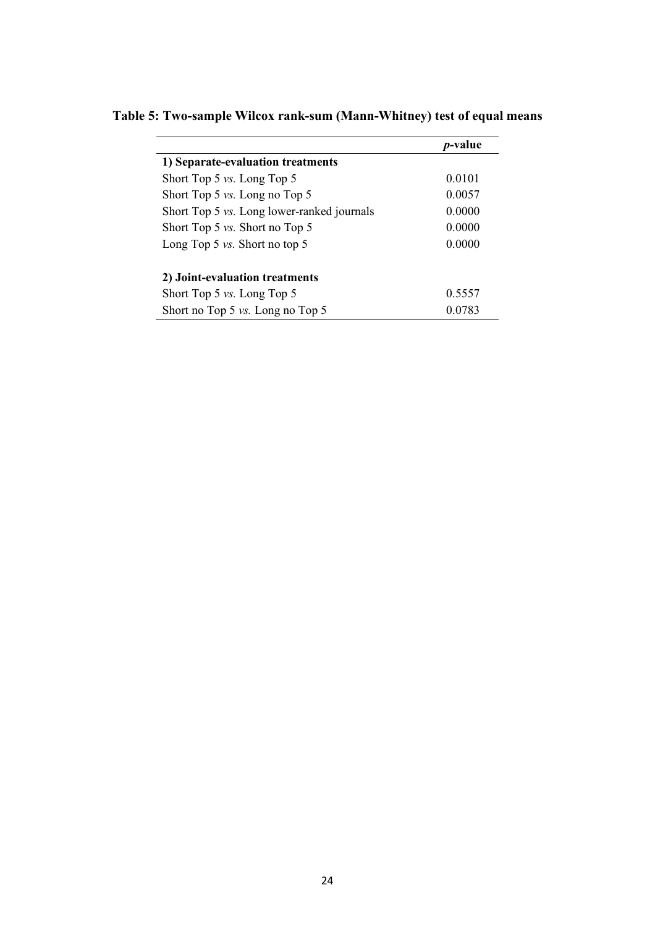|                                                        | <i>p</i> -value |
|--------------------------------------------------------|-----------------|
| 1) Separate-evaluation treatments                      |                 |
| Short Top 5 <i>vs.</i> Long Top 5                      | 0 0 1 0 1       |
| Short Top 5 $vs.$ Long no Top 5                        | 0.0057          |
| Short Top 5 vs. Long lower-ranked journals             | 0.0000          |
| Short Top 5 <i>vs.</i> Short no Top 5                  | 0.0000          |
| Long Top 5 $\nu s$ . Short no top 5                    | 0.0000          |
| 2) Joint-evaluation treatments                         |                 |
| Short Top 5 <i>vs.</i> Long Top 5                      | 0.5557          |
| Short no Top $5 \text{ vs. Long}$ no Top $5 \text{ s}$ | 0.0783          |

# **Table 5: Two-sample Wilcox rank-sum (Mann-Whitney) test of equal means**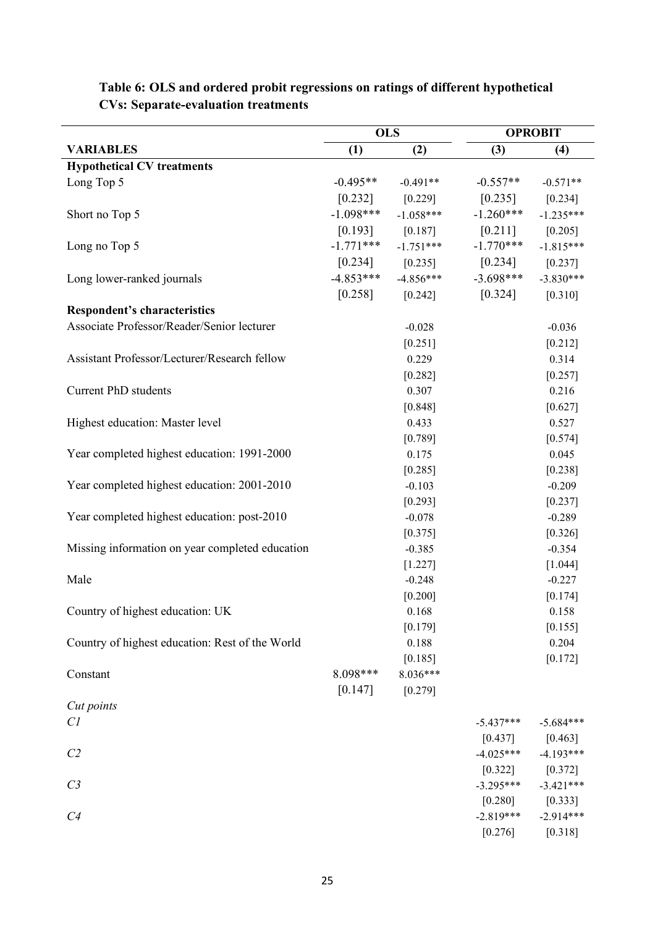| (3)<br><b>VARIABLES</b><br>(1)<br>(2)<br>(4)<br><b>Hypothetical CV treatments</b><br>Long Top 5<br>$-0.495**$<br>$-0.557**$<br>$-0.491**$<br>$-0.571**$<br>$[0.232]$ $[0.229]$<br>$[0.235]$ $[0.234]$<br>$-1.098***$<br>$-1.260***$<br>$-1.058***$<br>$-1.235***$<br>Short no Top 5<br>$[0.193]$ $[0.187]$<br>[0.211]<br>$[0.205]$<br>$-1.770***$<br>$-1.771***$<br>Long no Top 5<br>$-1.751***$<br>$-1.815***$<br>$[0.234]$ $[0.235]$ $[0.234]$<br>[0.237]<br>$-3.698***$<br>$-4.853***$<br>$-4.856***$<br>$-3.830***$<br>Long lower-ranked journals<br>[0.258]<br>[0.324]<br>[0.242]<br>[0.310]<br><b>Respondent's characteristics</b><br>Associate Professor/Reader/Senior lecturer<br>$-0.028$<br>$-0.036$<br>$[0.251]$<br>$[0.212]$<br>Assistant Professor/Lecturer/Research fellow<br>0.229<br>0.314<br>$[0.282]$<br>[0.257]<br><b>Current PhD students</b><br>0.307<br>0.216<br>[0.848]<br>[0.627]<br>Highest education: Master level<br>0.433<br>0.527<br>[0.789]<br>[0.574]<br>Year completed highest education: 1991-2000<br>0.175<br>0.045<br>[0.285]<br>$[0.238]$<br>Year completed highest education: 2001-2010<br>$-0.103$<br>$-0.209$<br>[0.293]<br>[0.237]<br>Year completed highest education: post-2010<br>$-0.289$<br>$-0.078$<br>[0.375]<br>[0.326]<br>Missing information on year completed education<br>$-0.385$<br>$-0.354$<br>[1.044]<br>$[1.227]$<br>Male<br>$-0.248$<br>$-0.227$<br>$[0.200]$<br>[0.174]<br>Country of highest education: UK<br>0.168<br>0.158<br>[0.179]<br>[0.155]<br>0.188<br>0.204<br>Country of highest education: Rest of the World<br>[0.185]<br>[0.172]<br>8.098***<br>8.036***<br>Constant<br>[0.147]<br>[0.279]<br>Cut points<br>Cl<br>$-5.437***$<br>$-5.684***$<br>[0.437]<br>[0.463]<br>C <sub>2</sub><br>$-4.025***$<br>$-4.193***$<br>$[0.322]$<br>[0.372]<br>C <sub>3</sub><br>$-3.295***$<br>$-3.421***$ | <b>OLS</b> |  | <b>OPROBIT</b> |
|---------------------------------------------------------------------------------------------------------------------------------------------------------------------------------------------------------------------------------------------------------------------------------------------------------------------------------------------------------------------------------------------------------------------------------------------------------------------------------------------------------------------------------------------------------------------------------------------------------------------------------------------------------------------------------------------------------------------------------------------------------------------------------------------------------------------------------------------------------------------------------------------------------------------------------------------------------------------------------------------------------------------------------------------------------------------------------------------------------------------------------------------------------------------------------------------------------------------------------------------------------------------------------------------------------------------------------------------------------------------------------------------------------------------------------------------------------------------------------------------------------------------------------------------------------------------------------------------------------------------------------------------------------------------------------------------------------------------------------------------------------------------------------------------------------------------------------------------------------------------|------------|--|----------------|
|                                                                                                                                                                                                                                                                                                                                                                                                                                                                                                                                                                                                                                                                                                                                                                                                                                                                                                                                                                                                                                                                                                                                                                                                                                                                                                                                                                                                                                                                                                                                                                                                                                                                                                                                                                                                                                                                     |            |  |                |
|                                                                                                                                                                                                                                                                                                                                                                                                                                                                                                                                                                                                                                                                                                                                                                                                                                                                                                                                                                                                                                                                                                                                                                                                                                                                                                                                                                                                                                                                                                                                                                                                                                                                                                                                                                                                                                                                     |            |  |                |
|                                                                                                                                                                                                                                                                                                                                                                                                                                                                                                                                                                                                                                                                                                                                                                                                                                                                                                                                                                                                                                                                                                                                                                                                                                                                                                                                                                                                                                                                                                                                                                                                                                                                                                                                                                                                                                                                     |            |  |                |
|                                                                                                                                                                                                                                                                                                                                                                                                                                                                                                                                                                                                                                                                                                                                                                                                                                                                                                                                                                                                                                                                                                                                                                                                                                                                                                                                                                                                                                                                                                                                                                                                                                                                                                                                                                                                                                                                     |            |  |                |
|                                                                                                                                                                                                                                                                                                                                                                                                                                                                                                                                                                                                                                                                                                                                                                                                                                                                                                                                                                                                                                                                                                                                                                                                                                                                                                                                                                                                                                                                                                                                                                                                                                                                                                                                                                                                                                                                     |            |  |                |
|                                                                                                                                                                                                                                                                                                                                                                                                                                                                                                                                                                                                                                                                                                                                                                                                                                                                                                                                                                                                                                                                                                                                                                                                                                                                                                                                                                                                                                                                                                                                                                                                                                                                                                                                                                                                                                                                     |            |  |                |
|                                                                                                                                                                                                                                                                                                                                                                                                                                                                                                                                                                                                                                                                                                                                                                                                                                                                                                                                                                                                                                                                                                                                                                                                                                                                                                                                                                                                                                                                                                                                                                                                                                                                                                                                                                                                                                                                     |            |  |                |
|                                                                                                                                                                                                                                                                                                                                                                                                                                                                                                                                                                                                                                                                                                                                                                                                                                                                                                                                                                                                                                                                                                                                                                                                                                                                                                                                                                                                                                                                                                                                                                                                                                                                                                                                                                                                                                                                     |            |  |                |
|                                                                                                                                                                                                                                                                                                                                                                                                                                                                                                                                                                                                                                                                                                                                                                                                                                                                                                                                                                                                                                                                                                                                                                                                                                                                                                                                                                                                                                                                                                                                                                                                                                                                                                                                                                                                                                                                     |            |  |                |
|                                                                                                                                                                                                                                                                                                                                                                                                                                                                                                                                                                                                                                                                                                                                                                                                                                                                                                                                                                                                                                                                                                                                                                                                                                                                                                                                                                                                                                                                                                                                                                                                                                                                                                                                                                                                                                                                     |            |  |                |
|                                                                                                                                                                                                                                                                                                                                                                                                                                                                                                                                                                                                                                                                                                                                                                                                                                                                                                                                                                                                                                                                                                                                                                                                                                                                                                                                                                                                                                                                                                                                                                                                                                                                                                                                                                                                                                                                     |            |  |                |
|                                                                                                                                                                                                                                                                                                                                                                                                                                                                                                                                                                                                                                                                                                                                                                                                                                                                                                                                                                                                                                                                                                                                                                                                                                                                                                                                                                                                                                                                                                                                                                                                                                                                                                                                                                                                                                                                     |            |  |                |
|                                                                                                                                                                                                                                                                                                                                                                                                                                                                                                                                                                                                                                                                                                                                                                                                                                                                                                                                                                                                                                                                                                                                                                                                                                                                                                                                                                                                                                                                                                                                                                                                                                                                                                                                                                                                                                                                     |            |  |                |
|                                                                                                                                                                                                                                                                                                                                                                                                                                                                                                                                                                                                                                                                                                                                                                                                                                                                                                                                                                                                                                                                                                                                                                                                                                                                                                                                                                                                                                                                                                                                                                                                                                                                                                                                                                                                                                                                     |            |  |                |
|                                                                                                                                                                                                                                                                                                                                                                                                                                                                                                                                                                                                                                                                                                                                                                                                                                                                                                                                                                                                                                                                                                                                                                                                                                                                                                                                                                                                                                                                                                                                                                                                                                                                                                                                                                                                                                                                     |            |  |                |
|                                                                                                                                                                                                                                                                                                                                                                                                                                                                                                                                                                                                                                                                                                                                                                                                                                                                                                                                                                                                                                                                                                                                                                                                                                                                                                                                                                                                                                                                                                                                                                                                                                                                                                                                                                                                                                                                     |            |  |                |
|                                                                                                                                                                                                                                                                                                                                                                                                                                                                                                                                                                                                                                                                                                                                                                                                                                                                                                                                                                                                                                                                                                                                                                                                                                                                                                                                                                                                                                                                                                                                                                                                                                                                                                                                                                                                                                                                     |            |  |                |
|                                                                                                                                                                                                                                                                                                                                                                                                                                                                                                                                                                                                                                                                                                                                                                                                                                                                                                                                                                                                                                                                                                                                                                                                                                                                                                                                                                                                                                                                                                                                                                                                                                                                                                                                                                                                                                                                     |            |  |                |
|                                                                                                                                                                                                                                                                                                                                                                                                                                                                                                                                                                                                                                                                                                                                                                                                                                                                                                                                                                                                                                                                                                                                                                                                                                                                                                                                                                                                                                                                                                                                                                                                                                                                                                                                                                                                                                                                     |            |  |                |
|                                                                                                                                                                                                                                                                                                                                                                                                                                                                                                                                                                                                                                                                                                                                                                                                                                                                                                                                                                                                                                                                                                                                                                                                                                                                                                                                                                                                                                                                                                                                                                                                                                                                                                                                                                                                                                                                     |            |  |                |
|                                                                                                                                                                                                                                                                                                                                                                                                                                                                                                                                                                                                                                                                                                                                                                                                                                                                                                                                                                                                                                                                                                                                                                                                                                                                                                                                                                                                                                                                                                                                                                                                                                                                                                                                                                                                                                                                     |            |  |                |
|                                                                                                                                                                                                                                                                                                                                                                                                                                                                                                                                                                                                                                                                                                                                                                                                                                                                                                                                                                                                                                                                                                                                                                                                                                                                                                                                                                                                                                                                                                                                                                                                                                                                                                                                                                                                                                                                     |            |  |                |
|                                                                                                                                                                                                                                                                                                                                                                                                                                                                                                                                                                                                                                                                                                                                                                                                                                                                                                                                                                                                                                                                                                                                                                                                                                                                                                                                                                                                                                                                                                                                                                                                                                                                                                                                                                                                                                                                     |            |  |                |
|                                                                                                                                                                                                                                                                                                                                                                                                                                                                                                                                                                                                                                                                                                                                                                                                                                                                                                                                                                                                                                                                                                                                                                                                                                                                                                                                                                                                                                                                                                                                                                                                                                                                                                                                                                                                                                                                     |            |  |                |
|                                                                                                                                                                                                                                                                                                                                                                                                                                                                                                                                                                                                                                                                                                                                                                                                                                                                                                                                                                                                                                                                                                                                                                                                                                                                                                                                                                                                                                                                                                                                                                                                                                                                                                                                                                                                                                                                     |            |  |                |
|                                                                                                                                                                                                                                                                                                                                                                                                                                                                                                                                                                                                                                                                                                                                                                                                                                                                                                                                                                                                                                                                                                                                                                                                                                                                                                                                                                                                                                                                                                                                                                                                                                                                                                                                                                                                                                                                     |            |  |                |
|                                                                                                                                                                                                                                                                                                                                                                                                                                                                                                                                                                                                                                                                                                                                                                                                                                                                                                                                                                                                                                                                                                                                                                                                                                                                                                                                                                                                                                                                                                                                                                                                                                                                                                                                                                                                                                                                     |            |  |                |
|                                                                                                                                                                                                                                                                                                                                                                                                                                                                                                                                                                                                                                                                                                                                                                                                                                                                                                                                                                                                                                                                                                                                                                                                                                                                                                                                                                                                                                                                                                                                                                                                                                                                                                                                                                                                                                                                     |            |  |                |
|                                                                                                                                                                                                                                                                                                                                                                                                                                                                                                                                                                                                                                                                                                                                                                                                                                                                                                                                                                                                                                                                                                                                                                                                                                                                                                                                                                                                                                                                                                                                                                                                                                                                                                                                                                                                                                                                     |            |  |                |
|                                                                                                                                                                                                                                                                                                                                                                                                                                                                                                                                                                                                                                                                                                                                                                                                                                                                                                                                                                                                                                                                                                                                                                                                                                                                                                                                                                                                                                                                                                                                                                                                                                                                                                                                                                                                                                                                     |            |  |                |
|                                                                                                                                                                                                                                                                                                                                                                                                                                                                                                                                                                                                                                                                                                                                                                                                                                                                                                                                                                                                                                                                                                                                                                                                                                                                                                                                                                                                                                                                                                                                                                                                                                                                                                                                                                                                                                                                     |            |  |                |
|                                                                                                                                                                                                                                                                                                                                                                                                                                                                                                                                                                                                                                                                                                                                                                                                                                                                                                                                                                                                                                                                                                                                                                                                                                                                                                                                                                                                                                                                                                                                                                                                                                                                                                                                                                                                                                                                     |            |  |                |
|                                                                                                                                                                                                                                                                                                                                                                                                                                                                                                                                                                                                                                                                                                                                                                                                                                                                                                                                                                                                                                                                                                                                                                                                                                                                                                                                                                                                                                                                                                                                                                                                                                                                                                                                                                                                                                                                     |            |  |                |
|                                                                                                                                                                                                                                                                                                                                                                                                                                                                                                                                                                                                                                                                                                                                                                                                                                                                                                                                                                                                                                                                                                                                                                                                                                                                                                                                                                                                                                                                                                                                                                                                                                                                                                                                                                                                                                                                     |            |  |                |
|                                                                                                                                                                                                                                                                                                                                                                                                                                                                                                                                                                                                                                                                                                                                                                                                                                                                                                                                                                                                                                                                                                                                                                                                                                                                                                                                                                                                                                                                                                                                                                                                                                                                                                                                                                                                                                                                     |            |  |                |
|                                                                                                                                                                                                                                                                                                                                                                                                                                                                                                                                                                                                                                                                                                                                                                                                                                                                                                                                                                                                                                                                                                                                                                                                                                                                                                                                                                                                                                                                                                                                                                                                                                                                                                                                                                                                                                                                     |            |  |                |
|                                                                                                                                                                                                                                                                                                                                                                                                                                                                                                                                                                                                                                                                                                                                                                                                                                                                                                                                                                                                                                                                                                                                                                                                                                                                                                                                                                                                                                                                                                                                                                                                                                                                                                                                                                                                                                                                     |            |  |                |
|                                                                                                                                                                                                                                                                                                                                                                                                                                                                                                                                                                                                                                                                                                                                                                                                                                                                                                                                                                                                                                                                                                                                                                                                                                                                                                                                                                                                                                                                                                                                                                                                                                                                                                                                                                                                                                                                     |            |  |                |
|                                                                                                                                                                                                                                                                                                                                                                                                                                                                                                                                                                                                                                                                                                                                                                                                                                                                                                                                                                                                                                                                                                                                                                                                                                                                                                                                                                                                                                                                                                                                                                                                                                                                                                                                                                                                                                                                     |            |  |                |
|                                                                                                                                                                                                                                                                                                                                                                                                                                                                                                                                                                                                                                                                                                                                                                                                                                                                                                                                                                                                                                                                                                                                                                                                                                                                                                                                                                                                                                                                                                                                                                                                                                                                                                                                                                                                                                                                     |            |  |                |
|                                                                                                                                                                                                                                                                                                                                                                                                                                                                                                                                                                                                                                                                                                                                                                                                                                                                                                                                                                                                                                                                                                                                                                                                                                                                                                                                                                                                                                                                                                                                                                                                                                                                                                                                                                                                                                                                     |            |  |                |
| $[0.280]$<br>[0.333]<br>C4<br>$-2.819***$<br>$-2.914***$                                                                                                                                                                                                                                                                                                                                                                                                                                                                                                                                                                                                                                                                                                                                                                                                                                                                                                                                                                                                                                                                                                                                                                                                                                                                                                                                                                                                                                                                                                                                                                                                                                                                                                                                                                                                            |            |  |                |

## **Table 6: OLS and ordered probit regressions on ratings of different hypothetical CVs: Separate-evaluation treatments**

 $[0.276]$   $[0.318]$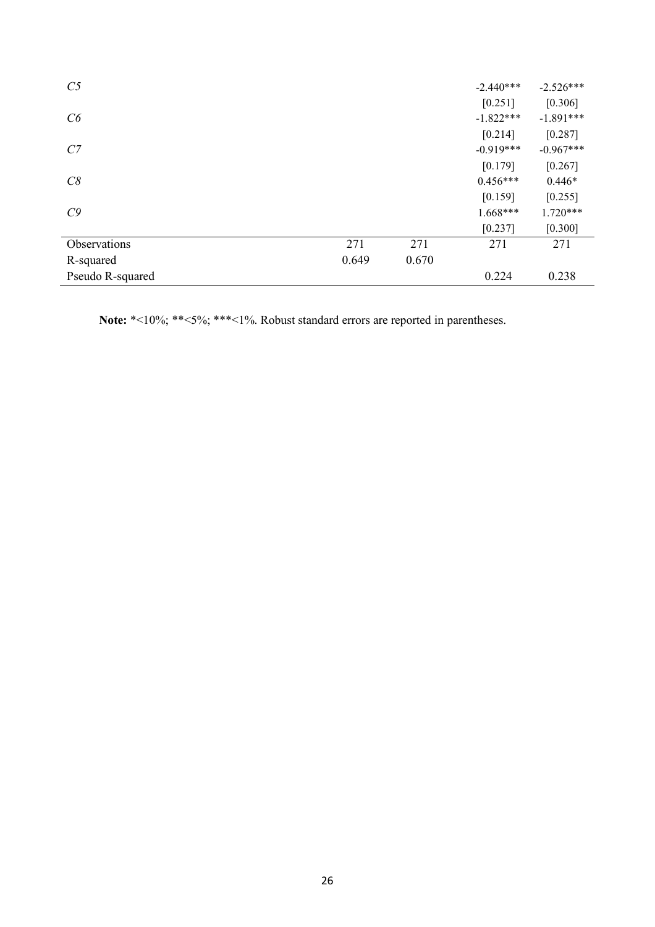| C <sub>5</sub>   |       |       | $-2.440***$ | $-2.526***$ |
|------------------|-------|-------|-------------|-------------|
|                  |       |       | $[0.251]$   | [0.306]     |
| C6               |       |       | $-1.822***$ | $-1.891***$ |
|                  |       |       | [0.214]     | $[0.287]$   |
| C <sub>7</sub>   |       |       | $-0.919***$ | $-0.967***$ |
|                  |       |       | [0.179]     | $[0.267]$   |
| C8               |       |       | $0.456***$  | $0.446*$    |
|                  |       |       | [0.159]     | $[0.255]$   |
| C9               |       |       | $1.668***$  | $1.720***$  |
|                  |       |       | [0.237]     | $[0.300]$   |
| Observations     | 271   | 271   | 271         | 271         |
| R-squared        | 0.649 | 0.670 |             |             |
| Pseudo R-squared |       |       | 0.224       | 0.238       |

Note: \*<10%; \*\*<5%; \*\*\*<1%. Robust standard errors are reported in parentheses.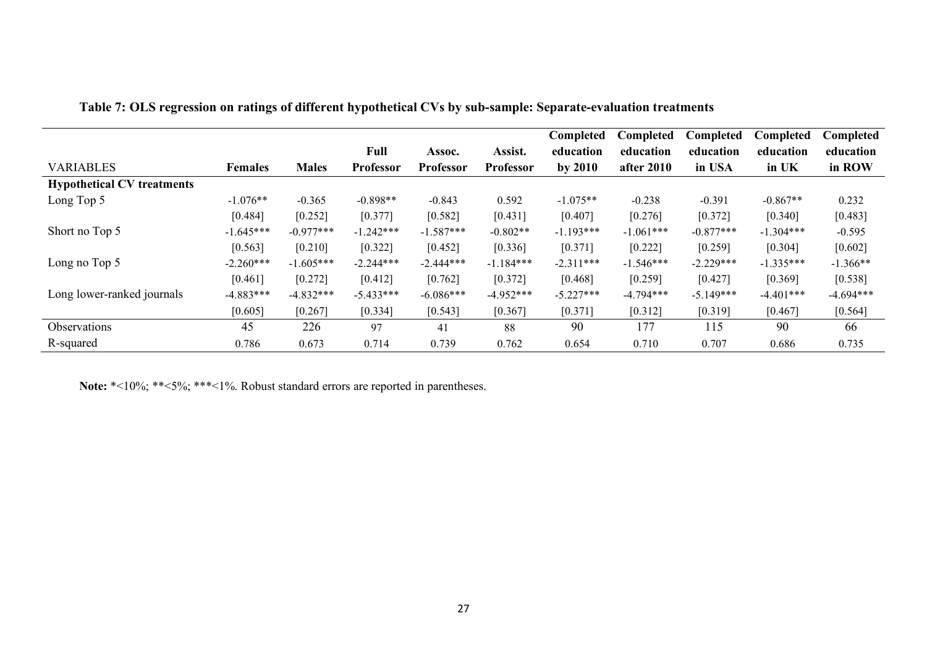|                                   |                |              |                  |                  |                  | Completed   | Completed   | Completed   | Completed   | Completed   |
|-----------------------------------|----------------|--------------|------------------|------------------|------------------|-------------|-------------|-------------|-------------|-------------|
|                                   |                |              | Full             | Assoc.           | Assist.          | education   | education   | education   | education   | education   |
| <b>VARIABLES</b>                  | <b>Females</b> | <b>Males</b> | <b>Professor</b> | <b>Professor</b> | <b>Professor</b> | by $2010$   | after 2010  | in USA      | in UK       | in ROW      |
| <b>Hypothetical CV treatments</b> |                |              |                  |                  |                  |             |             |             |             |             |
| Long Top 5                        | $-1.076**$     | $-0.365$     | $-0.898**$       | $-0.843$         | 0.592            | $-1.075**$  | $-0.238$    | $-0.391$    | $-0.867**$  | 0.232       |
|                                   | [0.484]        | [0.252]      | [0.377]          | [0.582]          | [0.431]          | [0.407]     | [0.276]     | [0.372]     | [0.340]     | [0.483]     |
| Short no Top 5                    | $-1.645***$    | $-0.977***$  | $-1.242***$      | $-1.587***$      | $-0.802**$       | $-1.193***$ | $-1.061***$ | $-0.877***$ | $-1.304***$ | $-0.595$    |
|                                   | [0.563]        | [0.210]      | [0.322]          | [0.452]          | [0.336]          | [0.371]     | [0.222]     | [0.259]     | [0.304]     | [0.602]     |
| Long no Top 5                     | $-2.260***$    | $-1.605***$  | $-2.244***$      | $-2.444***$      | $-1.184***$      | $-2.311***$ | $-1.546***$ | $-2.229***$ | $-1.335***$ | $-1.366**$  |
|                                   | [0.461]        | [0.272]      | [0.412]          | [0.762]          | [0.372]          | [0.468]     | [0.259]     | [0.427]     | [0.369]     | [0.538]     |
| Long lower-ranked journals        | $-4.883***$    | $-4.832***$  | $-5.433***$      | $-6.086***$      | $-4.952***$      | $-5.227***$ | $-4.794***$ | $-5.149***$ | $-4.401***$ | $-4.694***$ |
|                                   | [0.605]        | [0.267]      | [0.334]          | [0.543]          | [0.367]          | [0.371]     | [0.312]     | [0.319]     | [0.467]     | [0.564]     |
| Observations                      | 45             | 226          | 97               | 41               | 88               | 90          | 177         | 115         | 90          | 66          |
| R-squared                         | 0.786          | 0.673        | 0.714            | 0.739            | 0.762            | 0.654       | 0.710       | 0.707       | 0.686       | 0.735       |

**Table 7: OLS regression on ratings of different hypothetical CVs by sub-sample: Separate-evaluation treatments**

Note: \*<10%; \*\*<5%; \*\*\*<1%. Robust standard errors are reported in parentheses.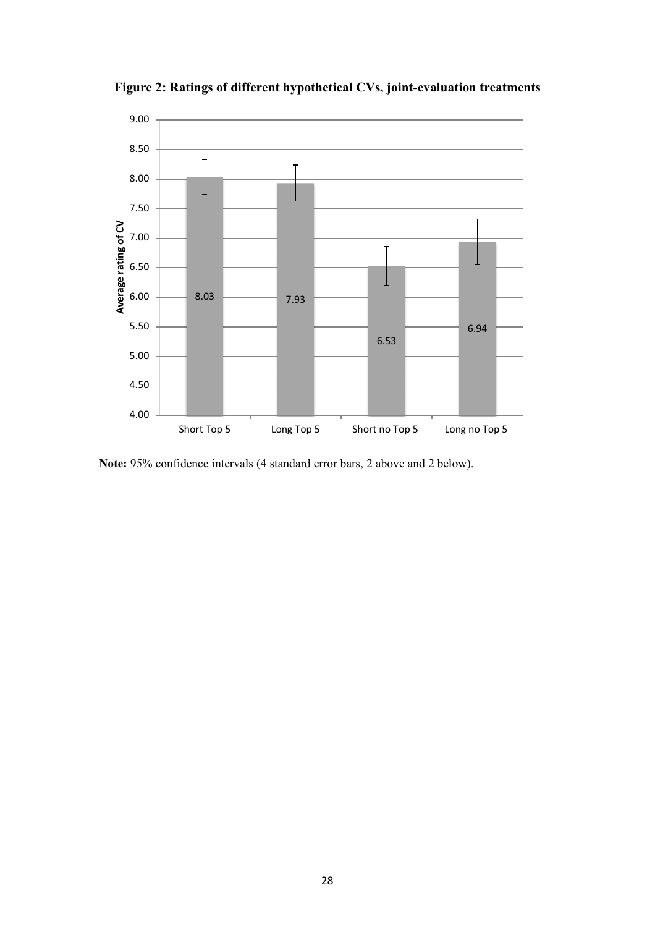

**Figure 2: Ratings of different hypothetical CVs, joint-evaluation treatments**

**Note:** 95% confidence intervals (4 standard error bars, 2 above and 2 below).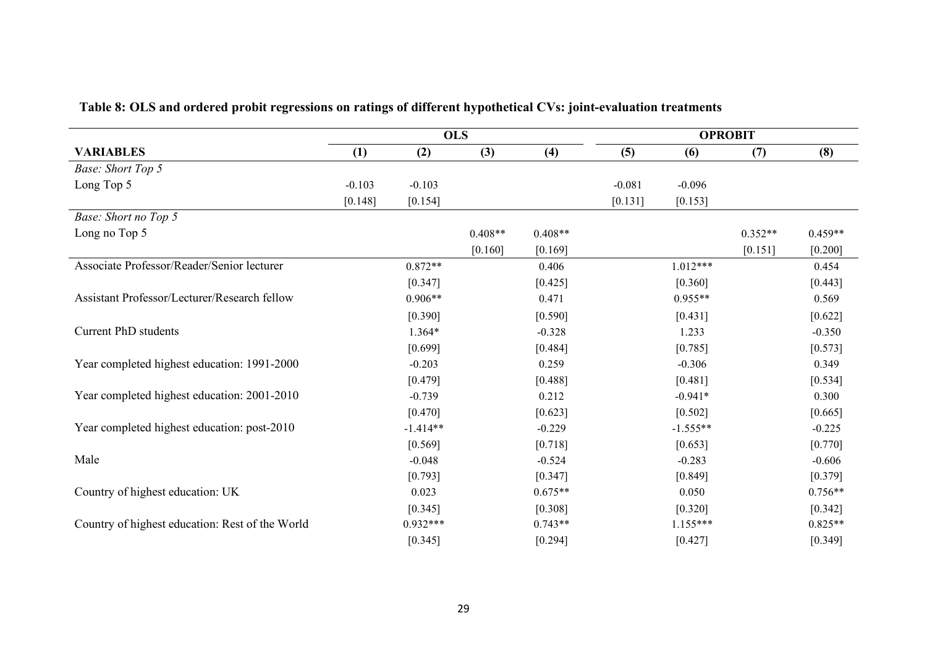|                                                 |          |            | <b>OLS</b> |           | <b>OPROBIT</b> |            |           |           |  |
|-------------------------------------------------|----------|------------|------------|-----------|----------------|------------|-----------|-----------|--|
| <b>VARIABLES</b>                                | (1)      | (2)        | (3)        | (4)       | (5)            | (6)        | (7)       | (8)       |  |
| <b>Base:</b> Short Top 5                        |          |            |            |           |                |            |           |           |  |
| Long Top 5                                      | $-0.103$ | $-0.103$   |            |           | $-0.081$       | $-0.096$   |           |           |  |
|                                                 | [0.148]  | [0.154]    |            |           | [0.131]        | [0.153]    |           |           |  |
| Base: Short no Top 5                            |          |            |            |           |                |            |           |           |  |
| Long no Top 5                                   |          |            | $0.408**$  | $0.408**$ |                |            | $0.352**$ | $0.459**$ |  |
|                                                 |          |            | [0.160]    | [0.169]   |                |            | [0.151]   | [0.200]   |  |
| Associate Professor/Reader/Senior lecturer      |          | $0.872**$  |            | 0.406     |                | $1.012***$ |           | 0.454     |  |
|                                                 |          | [0.347]    |            | [0.425]   |                | [0.360]    |           | [0.443]   |  |
| Assistant Professor/Lecturer/Research fellow    |          | $0.906**$  |            | 0.471     |                | $0.955**$  |           | 0.569     |  |
|                                                 |          | [0.390]    |            | [0.590]   |                | [0.431]    |           | [0.622]   |  |
| <b>Current PhD students</b>                     |          | 1.364*     |            | $-0.328$  |                | 1.233      |           | $-0.350$  |  |
|                                                 |          | [0.699]    |            | [0.484]   |                | [0.785]    |           | [0.573]   |  |
| Year completed highest education: 1991-2000     |          | $-0.203$   |            | 0.259     |                | $-0.306$   |           | 0.349     |  |
|                                                 |          | [0.479]    |            | [0.488]   |                | [0.481]    |           | [0.534]   |  |
| Year completed highest education: 2001-2010     |          | $-0.739$   |            | 0.212     |                | $-0.941*$  |           | 0.300     |  |
|                                                 |          | [0.470]    |            | [0.623]   |                | [0.502]    |           | [0.665]   |  |
| Year completed highest education: post-2010     |          | $-1.414**$ |            | $-0.229$  |                | $-1.555**$ |           | $-0.225$  |  |
|                                                 |          | [0.569]    |            | [0.718]   |                | [0.653]    |           | [0.770]   |  |
| Male                                            |          | $-0.048$   |            | $-0.524$  |                | $-0.283$   |           | $-0.606$  |  |
|                                                 |          | [0.793]    |            | [0.347]   |                | [0.849]    |           | [0.379]   |  |
| Country of highest education: UK                |          | 0.023      |            | $0.675**$ |                | 0.050      |           | $0.756**$ |  |
|                                                 |          | [0.345]    |            | [0.308]   |                | [0.320]    |           | [0.342]   |  |
| Country of highest education: Rest of the World |          | $0.932***$ |            | $0.743**$ |                | $1.155***$ |           | $0.825**$ |  |
|                                                 |          | [0.345]    |            | [0.294]   |                | [0.427]    |           | [0.349]   |  |

# **Table 8: OLS and ordered probit regressions on ratings of different hypothetical CVs: joint-evaluation treatments**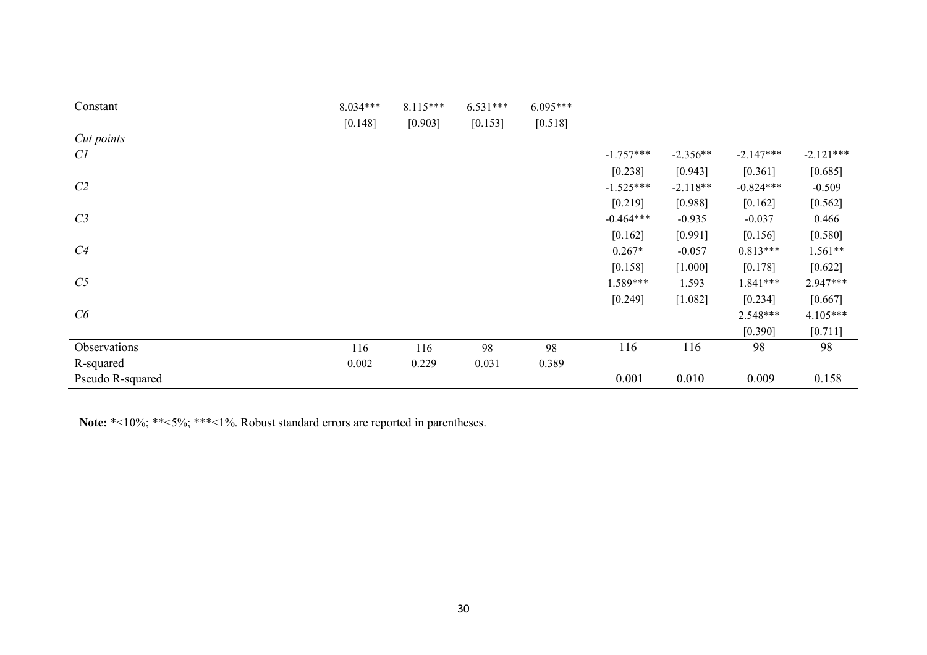| Constant         | $8.034***$ | 8.115*** | $6.531***$ | $6.095***$ |             |            |             |             |
|------------------|------------|----------|------------|------------|-------------|------------|-------------|-------------|
|                  | [0.148]    | [0.903]  | [0.153]    | [0.518]    |             |            |             |             |
| Cut points       |            |          |            |            |             |            |             |             |
| Cl               |            |          |            |            | $-1.757***$ | $-2.356**$ | $-2.147***$ | $-2.121***$ |
|                  |            |          |            |            | [0.238]     | [0.943]    | [0.361]     | [0.685]     |
| C <sub>2</sub>   |            |          |            |            | $-1.525***$ | $-2.118**$ | $-0.824***$ | $-0.509$    |
|                  |            |          |            |            | [0.219]     | [0.988]    | [0.162]     | [0.562]     |
| C <sub>3</sub>   |            |          |            |            | $-0.464***$ | $-0.935$   | $-0.037$    | 0.466       |
|                  |            |          |            |            | [0.162]     | [0.991]    | [0.156]     | [0.580]     |
| C4               |            |          |            |            | $0.267*$    | $-0.057$   | $0.813***$  | $1.561**$   |
|                  |            |          |            |            | [0.158]     | [1.000]    | [0.178]     | [0.622]     |
| C <sub>5</sub>   |            |          |            |            | 1.589***    | 1.593      | 1.841***    | 2.947***    |
|                  |            |          |            |            | [0.249]     | [1.082]    | [0.234]     | [0.667]     |
| C6               |            |          |            |            |             |            | 2.548***    | 4.105***    |
|                  |            |          |            |            |             |            | [0.390]     | [0.711]     |
| Observations     | 116        | 116      | 98         | 98         | 116         | 116        | 98          | 98          |
| R-squared        | 0.002      | 0.229    | 0.031      | 0.389      |             |            |             |             |
| Pseudo R-squared |            |          |            |            | 0.001       | 0.010      | 0.009       | 0.158       |

Note: \*<10%; \*\*<5%; \*\*\*<1%. Robust standard errors are reported in parentheses.